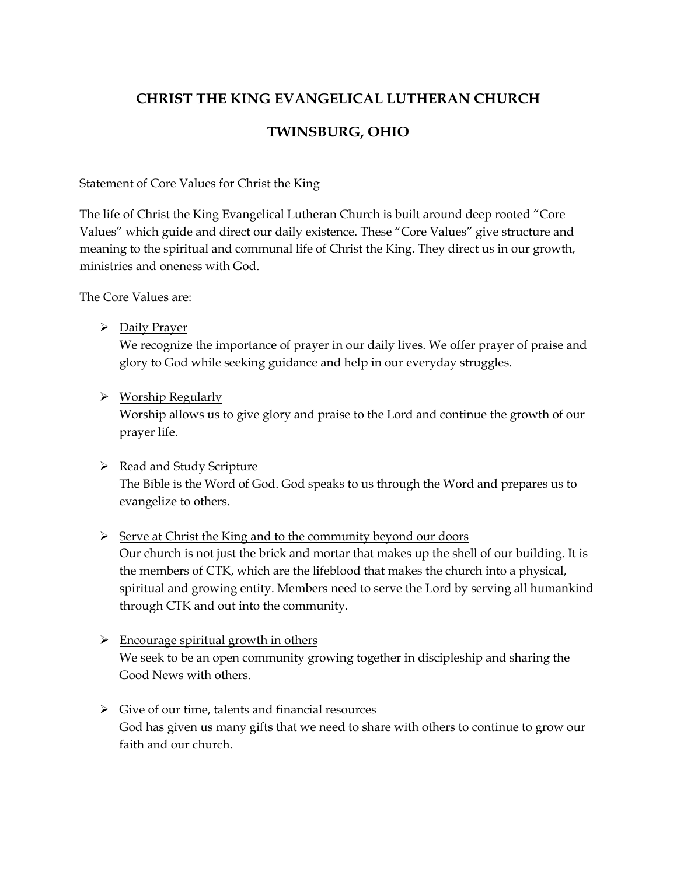# **CHRIST THE KING EVANGELICAL LUTHERAN CHURCH**

# **TWINSBURG, OHIO**

### Statement of Core Values for Christ the King

The life of Christ the King Evangelical Lutheran Church is built around deep rooted "Core Values" which guide and direct our daily existence. These "Core Values" give structure and meaning to the spiritual and communal life of Christ the King. They direct us in our growth, ministries and oneness with God.

The Core Values are:

Daily Prayer

We recognize the importance of prayer in our daily lives. We offer prayer of praise and glory to God while seeking guidance and help in our everyday struggles.

 $\triangleright$  Worship Regularly

Worship allows us to give glory and praise to the Lord and continue the growth of our prayer life.

 $\triangleright$  Read and Study Scripture The Bible is the Word of God. God speaks to us through the Word and prepares us to evangelize to others.

# $\triangleright$  Serve at Christ the King and to the community beyond our doors

Our church is not just the brick and mortar that makes up the shell of our building. It is the members of CTK, which are the lifeblood that makes the church into a physical, spiritual and growing entity. Members need to serve the Lord by serving all humankind through CTK and out into the community.

- $\triangleright$  Encourage spiritual growth in others We seek to be an open community growing together in discipleship and sharing the Good News with others.
- $\triangleright$  Give of our time, talents and financial resources God has given us many gifts that we need to share with others to continue to grow our faith and our church.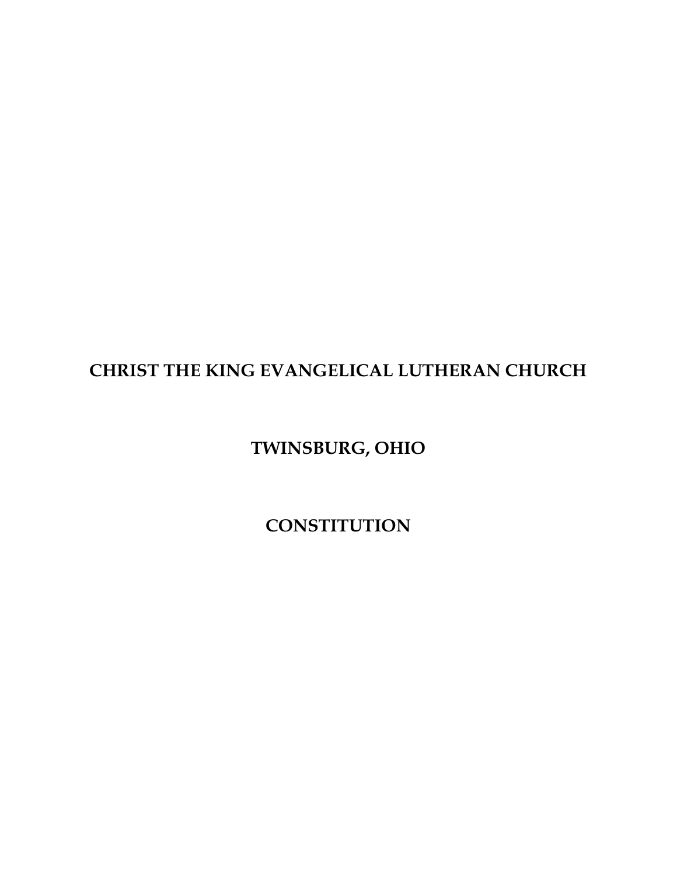# **CHRIST THE KING EVANGELICAL LUTHERAN CHURCH**

# **TWINSBURG, OHIO**

**CONSTITUTION**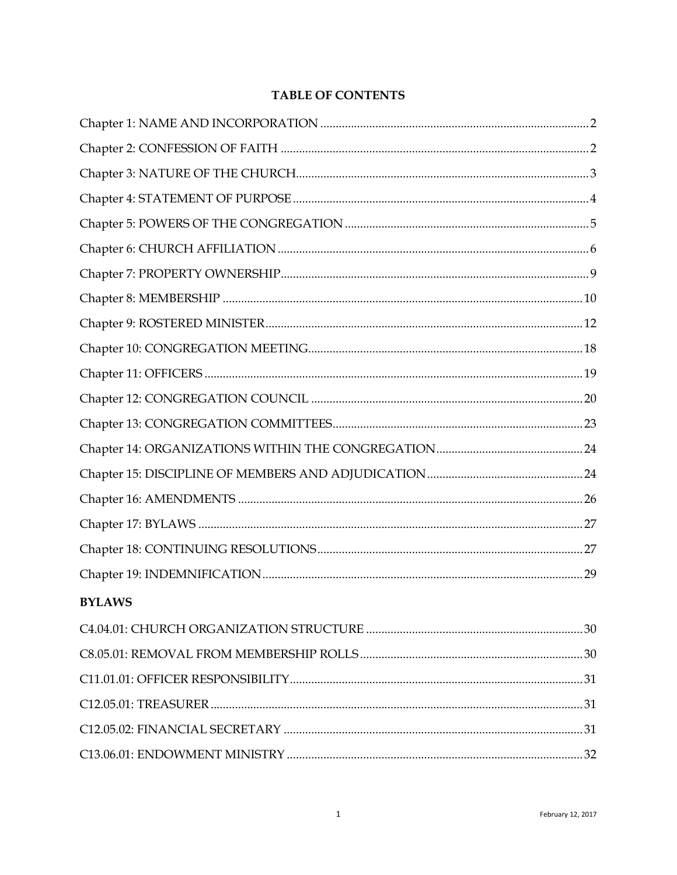| <b>TABLE OF CONTENTS</b> |
|--------------------------|
|--------------------------|

| <b>BYLAWS</b> |  |
|---------------|--|
|               |  |
|               |  |
|               |  |
|               |  |
|               |  |
|               |  |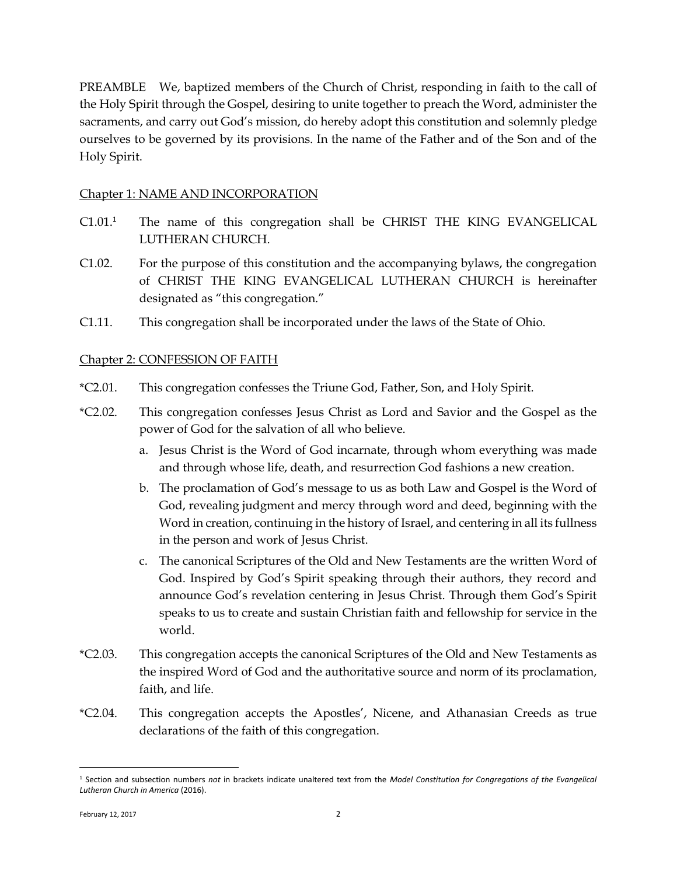PREAMBLE We, baptized members of the Church of Christ, responding in faith to the call of the Holy Spirit through the Gospel, desiring to unite together to preach the Word, administer the sacraments, and carry out God's mission, do hereby adopt this constitution and solemnly pledge ourselves to be governed by its provisions. In the name of the Father and of the Son and of the Holy Spirit.

## <span id="page-3-0"></span>Chapter 1: NAME AND INCORPORATION

- C1.01.<sup>1</sup> The name of this congregation shall be CHRIST THE KING EVANGELICAL LUTHERAN CHURCH.
- C1.02. For the purpose of this constitution and the accompanying bylaws, the congregation of CHRIST THE KING EVANGELICAL LUTHERAN CHURCH is hereinafter designated as "this congregation."
- <span id="page-3-1"></span>C1.11. This congregation shall be incorporated under the laws of the State of Ohio.

## Chapter 2: CONFESSION OF FAITH

- \*C2.01. This congregation confesses the Triune God, Father, Son, and Holy Spirit.
- \*C2.02. This congregation confesses Jesus Christ as Lord and Savior and the Gospel as the power of God for the salvation of all who believe.
	- a. Jesus Christ is the Word of God incarnate, through whom everything was made and through whose life, death, and resurrection God fashions a new creation.
	- b. The proclamation of God's message to us as both Law and Gospel is the Word of God, revealing judgment and mercy through word and deed, beginning with the Word in creation, continuing in the history of Israel, and centering in all its fullness in the person and work of Jesus Christ.
	- c. The canonical Scriptures of the Old and New Testaments are the written Word of God. Inspired by God's Spirit speaking through their authors, they record and announce God's revelation centering in Jesus Christ. Through them God's Spirit speaks to us to create and sustain Christian faith and fellowship for service in the world.
- \*C2.03. This congregation accepts the canonical Scriptures of the Old and New Testaments as the inspired Word of God and the authoritative source and norm of its proclamation, faith, and life.
- \*C2.04. This congregation accepts the Apostles', Nicene, and Athanasian Creeds as true declarations of the faith of this congregation.

 $\overline{a}$ 

<sup>1</sup> Section and subsection numbers *not* in brackets indicate unaltered text from the *Model Constitution for Congregations of the Evangelical Lutheran Church in America* (2016).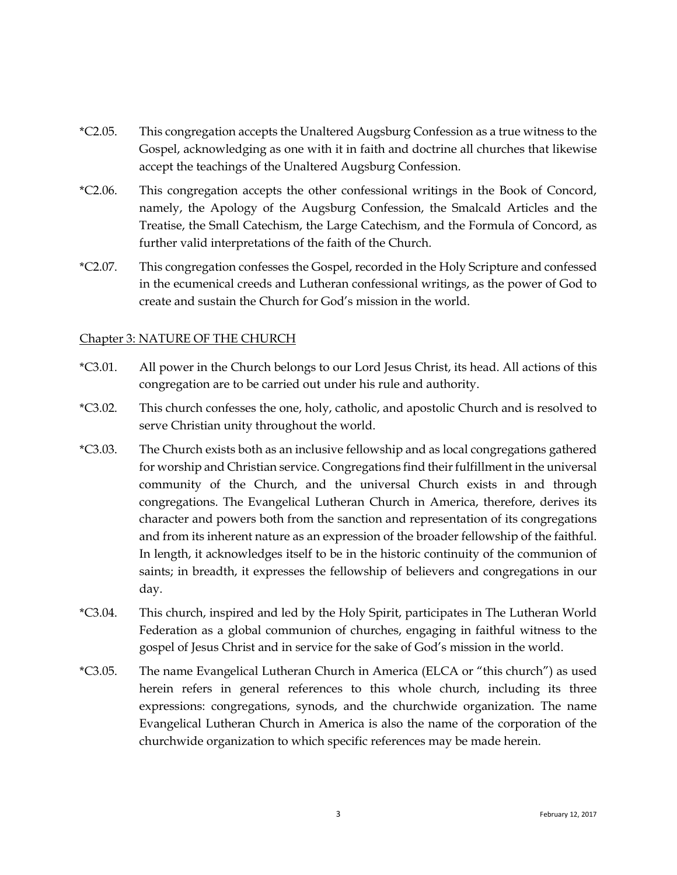- \*C2.05. This congregation accepts the Unaltered Augsburg Confession as a true witness to the Gospel, acknowledging as one with it in faith and doctrine all churches that likewise accept the teachings of the Unaltered Augsburg Confession.
- \*C2.06. This congregation accepts the other confessional writings in the Book of Concord, namely, the Apology of the Augsburg Confession, the Smalcald Articles and the Treatise, the Small Catechism, the Large Catechism, and the Formula of Concord, as further valid interpretations of the faith of the Church.
- \*C2.07. This congregation confesses the Gospel, recorded in the Holy Scripture and confessed in the ecumenical creeds and Lutheran confessional writings, as the power of God to create and sustain the Church for God's mission in the world.

### <span id="page-4-0"></span>Chapter 3: NATURE OF THE CHURCH

- \*C3.01. All power in the Church belongs to our Lord Jesus Christ, its head. All actions of this congregation are to be carried out under his rule and authority.
- \*C3.02. This church confesses the one, holy, catholic, and apostolic Church and is resolved to serve Christian unity throughout the world.
- \*C3.03. The Church exists both as an inclusive fellowship and as local congregations gathered for worship and Christian service. Congregations find their fulfillment in the universal community of the Church, and the universal Church exists in and through congregations. The Evangelical Lutheran Church in America, therefore, derives its character and powers both from the sanction and representation of its congregations and from its inherent nature as an expression of the broader fellowship of the faithful. In length, it acknowledges itself to be in the historic continuity of the communion of saints; in breadth, it expresses the fellowship of believers and congregations in our day.
- \*C3.04. This church, inspired and led by the Holy Spirit, participates in The Lutheran World Federation as a global communion of churches, engaging in faithful witness to the gospel of Jesus Christ and in service for the sake of God's mission in the world.
- \*C3.05. The name Evangelical Lutheran Church in America (ELCA or "this church") as used herein refers in general references to this whole church, including its three expressions: congregations, synods, and the churchwide organization. The name Evangelical Lutheran Church in America is also the name of the corporation of the churchwide organization to which specific references may be made herein.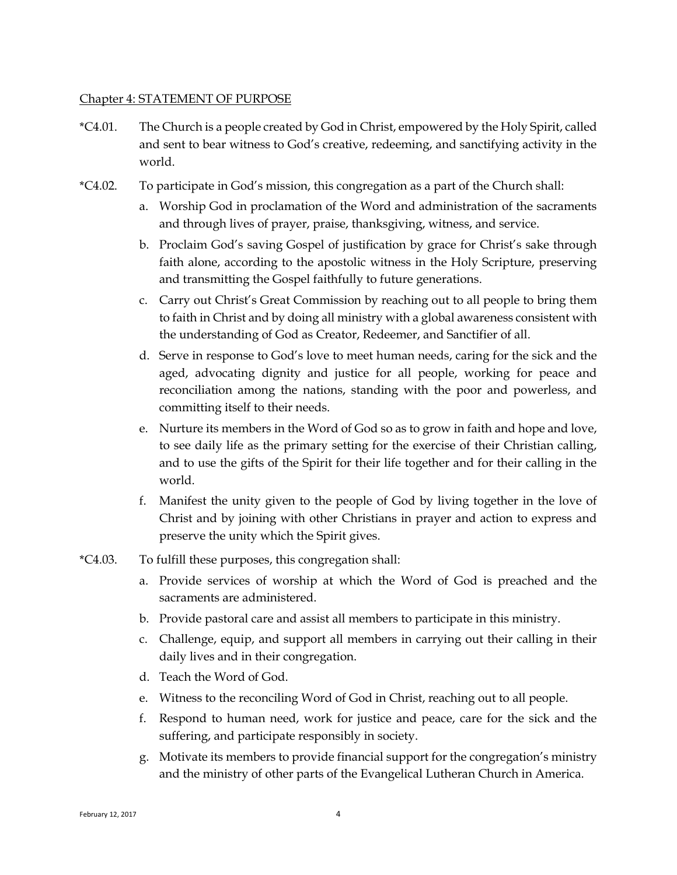#### <span id="page-5-0"></span>Chapter 4: STATEMENT OF PURPOSE

- \*C4.01. The Church is a people created by God in Christ, empowered by the Holy Spirit, called and sent to bear witness to God's creative, redeeming, and sanctifying activity in the world.
- \*C4.02. To participate in God's mission, this congregation as a part of the Church shall:
	- a. Worship God in proclamation of the Word and administration of the sacraments and through lives of prayer, praise, thanksgiving, witness, and service.
	- b. Proclaim God's saving Gospel of justification by grace for Christ's sake through faith alone, according to the apostolic witness in the Holy Scripture, preserving and transmitting the Gospel faithfully to future generations.
	- c. Carry out Christ's Great Commission by reaching out to all people to bring them to faith in Christ and by doing all ministry with a global awareness consistent with the understanding of God as Creator, Redeemer, and Sanctifier of all.
	- d. Serve in response to God's love to meet human needs, caring for the sick and the aged, advocating dignity and justice for all people, working for peace and reconciliation among the nations, standing with the poor and powerless, and committing itself to their needs.
	- e. Nurture its members in the Word of God so as to grow in faith and hope and love, to see daily life as the primary setting for the exercise of their Christian calling, and to use the gifts of the Spirit for their life together and for their calling in the world.
	- f. Manifest the unity given to the people of God by living together in the love of Christ and by joining with other Christians in prayer and action to express and preserve the unity which the Spirit gives.
- \*C4.03. To fulfill these purposes, this congregation shall:
	- a. Provide services of worship at which the Word of God is preached and the sacraments are administered.
	- b. Provide pastoral care and assist all members to participate in this ministry.
	- c. Challenge, equip, and support all members in carrying out their calling in their daily lives and in their congregation.
	- d. Teach the Word of God.
	- e. Witness to the reconciling Word of God in Christ, reaching out to all people.
	- f. Respond to human need, work for justice and peace, care for the sick and the suffering, and participate responsibly in society.
	- g. Motivate its members to provide financial support for the congregation's ministry and the ministry of other parts of the Evangelical Lutheran Church in America.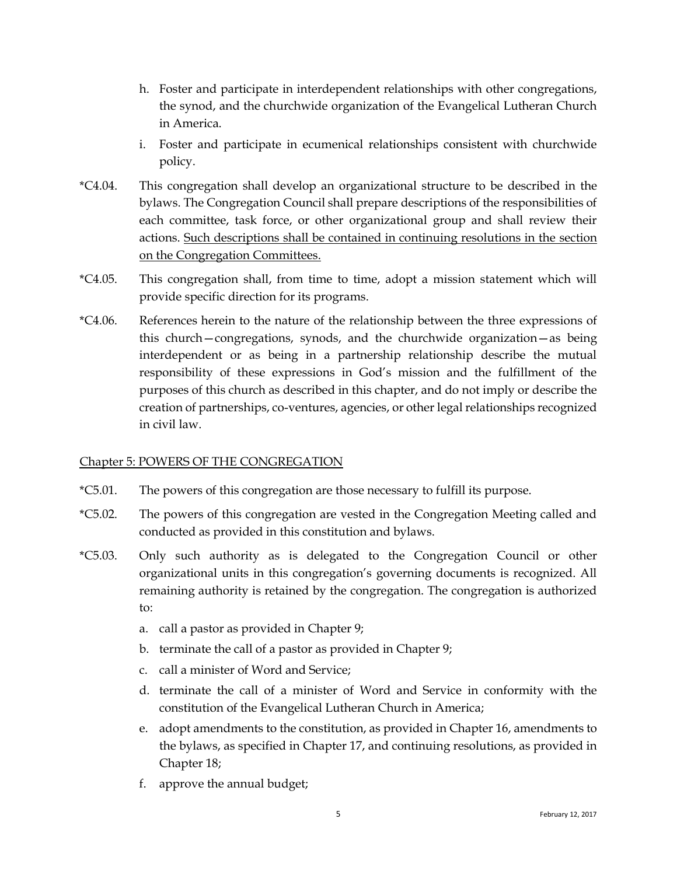- h. Foster and participate in interdependent relationships with other congregations, the synod, and the churchwide organization of the Evangelical Lutheran Church in America.
- i. Foster and participate in ecumenical relationships consistent with churchwide policy.
- \*C4.04. This congregation shall develop an organizational structure to be described in the bylaws. The Congregation Council shall prepare descriptions of the responsibilities of each committee, task force, or other organizational group and shall review their actions. Such descriptions shall be contained in continuing resolutions in the section on the Congregation Committees.
- \*C4.05. This congregation shall, from time to time, adopt a mission statement which will provide specific direction for its programs.
- \*C4.06. References herein to the nature of the relationship between the three expressions of this church—congregations, synods, and the churchwide organization—as being interdependent or as being in a partnership relationship describe the mutual responsibility of these expressions in God's mission and the fulfillment of the purposes of this church as described in this chapter, and do not imply or describe the creation of partnerships, co-ventures, agencies, or other legal relationships recognized in civil law.

### <span id="page-6-0"></span>Chapter 5: POWERS OF THE CONGREGATION

- \*C5.01. The powers of this congregation are those necessary to fulfill its purpose.
- \*C5.02. The powers of this congregation are vested in the Congregation Meeting called and conducted as provided in this constitution and bylaws.
- \*C5.03. Only such authority as is delegated to the Congregation Council or other organizational units in this congregation's governing documents is recognized. All remaining authority is retained by the congregation. The congregation is authorized to:
	- a. call a pastor as provided in Chapter 9;
	- b. terminate the call of a pastor as provided in Chapter 9;
	- c. call a minister of Word and Service;
	- d. terminate the call of a minister of Word and Service in conformity with the constitution of the Evangelical Lutheran Church in America;
	- e. adopt amendments to the constitution, as provided in Chapter 16, amendments to the bylaws, as specified in Chapter 17, and continuing resolutions, as provided in Chapter 18;
	- f. approve the annual budget;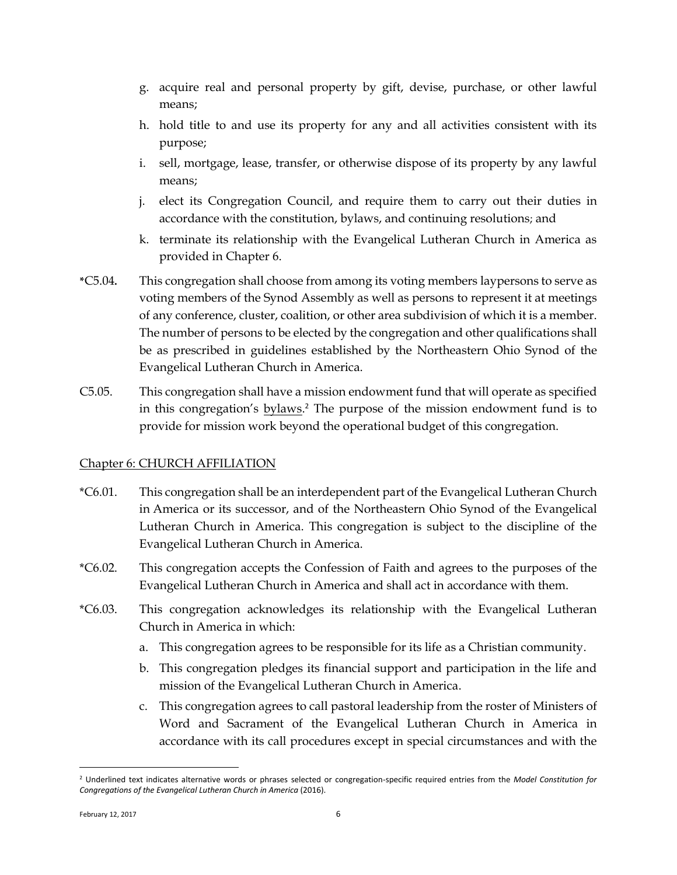- g. acquire real and personal property by gift, devise, purchase, or other lawful means;
- h. hold title to and use its property for any and all activities consistent with its purpose;
- i. sell, mortgage, lease, transfer, or otherwise dispose of its property by any lawful means;
- j. elect its Congregation Council, and require them to carry out their duties in accordance with the constitution, bylaws, and continuing resolutions; and
- k. terminate its relationship with the Evangelical Lutheran Church in America as provided in Chapter 6.
- **\***C5.04**.** This congregation shall choose from among its voting members laypersons to serve as voting members of the Synod Assembly as well as persons to represent it at meetings of any conference, cluster, coalition, or other area subdivision of which it is a member. The number of persons to be elected by the congregation and other qualifications shall be as prescribed in guidelines established by the Northeastern Ohio Synod of the Evangelical Lutheran Church in America.
- C5.05. This congregation shall have a mission endowment fund that will operate as specified in this congregation's **bylaws**.<sup>2</sup> The purpose of the mission endowment fund is to provide for mission work beyond the operational budget of this congregation.

# <span id="page-7-0"></span>Chapter 6: CHURCH AFFILIATION

- \*C6.01. This congregation shall be an interdependent part of the Evangelical Lutheran Church in America or its successor, and of the Northeastern Ohio Synod of the Evangelical Lutheran Church in America. This congregation is subject to the discipline of the Evangelical Lutheran Church in America.
- \*C6.02. This congregation accepts the Confession of Faith and agrees to the purposes of the Evangelical Lutheran Church in America and shall act in accordance with them.
- \*C6.03. This congregation acknowledges its relationship with the Evangelical Lutheran Church in America in which:
	- a. This congregation agrees to be responsible for its life as a Christian community.
	- b. This congregation pledges its financial support and participation in the life and mission of the Evangelical Lutheran Church in America.
	- c. This congregation agrees to call pastoral leadership from the roster of Ministers of Word and Sacrament of the Evangelical Lutheran Church in America in accordance with its call procedures except in special circumstances and with the

 $\overline{a}$ 

<sup>2</sup> Underlined text indicates alternative words or phrases selected or congregation-specific required entries from the *Model Constitution for Congregations of the Evangelical Lutheran Church in America* (2016).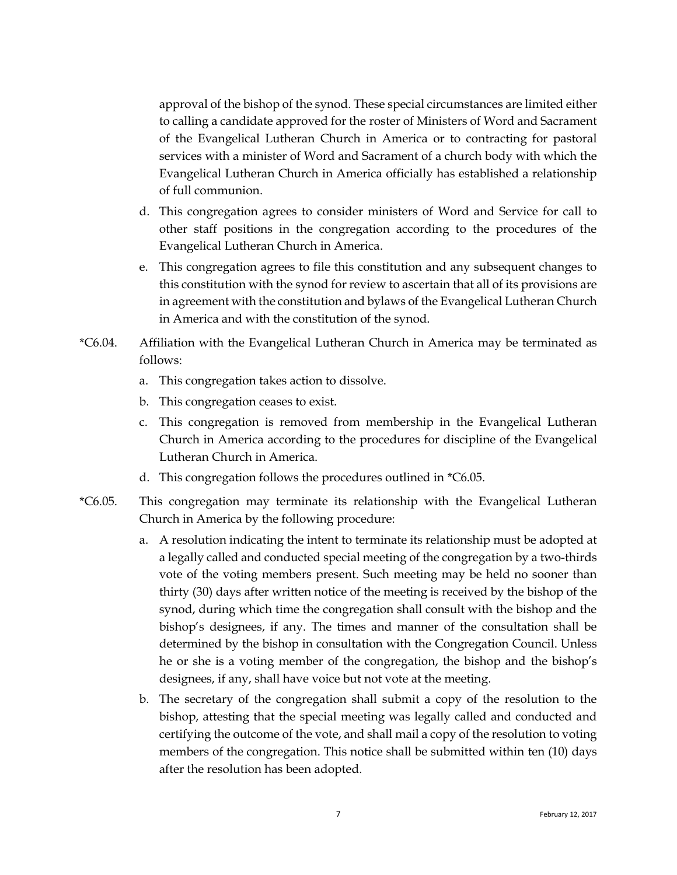approval of the bishop of the synod. These special circumstances are limited either to calling a candidate approved for the roster of Ministers of Word and Sacrament of the Evangelical Lutheran Church in America or to contracting for pastoral services with a minister of Word and Sacrament of a church body with which the Evangelical Lutheran Church in America officially has established a relationship of full communion.

- d. This congregation agrees to consider ministers of Word and Service for call to other staff positions in the congregation according to the procedures of the Evangelical Lutheran Church in America.
- e. This congregation agrees to file this constitution and any subsequent changes to this constitution with the synod for review to ascertain that all of its provisions are in agreement with the constitution and bylaws of the Evangelical Lutheran Church in America and with the constitution of the synod.
- \*C6.04. Affiliation with the Evangelical Lutheran Church in America may be terminated as follows:
	- a. This congregation takes action to dissolve.
	- b. This congregation ceases to exist.
	- c. This congregation is removed from membership in the Evangelical Lutheran Church in America according to the procedures for discipline of the Evangelical Lutheran Church in America.
	- d. This congregation follows the procedures outlined in \*C6.05.
- \*C6.05. This congregation may terminate its relationship with the Evangelical Lutheran Church in America by the following procedure:
	- a. A resolution indicating the intent to terminate its relationship must be adopted at a legally called and conducted special meeting of the congregation by a two-thirds vote of the voting members present. Such meeting may be held no sooner than thirty (30) days after written notice of the meeting is received by the bishop of the synod, during which time the congregation shall consult with the bishop and the bishop's designees, if any. The times and manner of the consultation shall be determined by the bishop in consultation with the Congregation Council. Unless he or she is a voting member of the congregation, the bishop and the bishop's designees, if any, shall have voice but not vote at the meeting.
	- b. The secretary of the congregation shall submit a copy of the resolution to the bishop, attesting that the special meeting was legally called and conducted and certifying the outcome of the vote, and shall mail a copy of the resolution to voting members of the congregation. This notice shall be submitted within ten (10) days after the resolution has been adopted.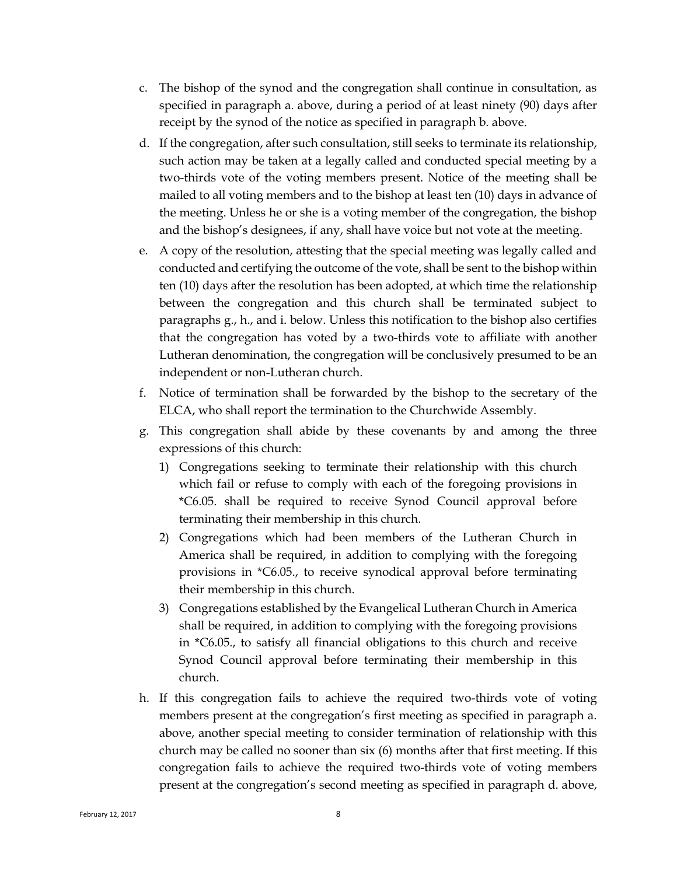- c. The bishop of the synod and the congregation shall continue in consultation, as specified in paragraph a. above, during a period of at least ninety (90) days after receipt by the synod of the notice as specified in paragraph b. above.
- d. If the congregation, after such consultation, still seeks to terminate its relationship, such action may be taken at a legally called and conducted special meeting by a two-thirds vote of the voting members present. Notice of the meeting shall be mailed to all voting members and to the bishop at least ten (10) days in advance of the meeting. Unless he or she is a voting member of the congregation, the bishop and the bishop's designees, if any, shall have voice but not vote at the meeting.
- e. A copy of the resolution, attesting that the special meeting was legally called and conducted and certifying the outcome of the vote, shall be sent to the bishop within ten (10) days after the resolution has been adopted, at which time the relationship between the congregation and this church shall be terminated subject to paragraphs g., h., and i. below. Unless this notification to the bishop also certifies that the congregation has voted by a two-thirds vote to affiliate with another Lutheran denomination, the congregation will be conclusively presumed to be an independent or non-Lutheran church.
- f. Notice of termination shall be forwarded by the bishop to the secretary of the ELCA, who shall report the termination to the Churchwide Assembly.
- g. This congregation shall abide by these covenants by and among the three expressions of this church:
	- 1) Congregations seeking to terminate their relationship with this church which fail or refuse to comply with each of the foregoing provisions in \*C6.05. shall be required to receive Synod Council approval before terminating their membership in this church.
	- 2) Congregations which had been members of the Lutheran Church in America shall be required, in addition to complying with the foregoing provisions in \*C6.05., to receive synodical approval before terminating their membership in this church.
	- 3) Congregations established by the Evangelical Lutheran Church in America shall be required, in addition to complying with the foregoing provisions in \*C6.05., to satisfy all financial obligations to this church and receive Synod Council approval before terminating their membership in this church.
- h. If this congregation fails to achieve the required two-thirds vote of voting members present at the congregation's first meeting as specified in paragraph a. above, another special meeting to consider termination of relationship with this church may be called no sooner than  $s$ ix  $(6)$  months after that first meeting. If this congregation fails to achieve the required two-thirds vote of voting members present at the congregation's second meeting as specified in paragraph d. above,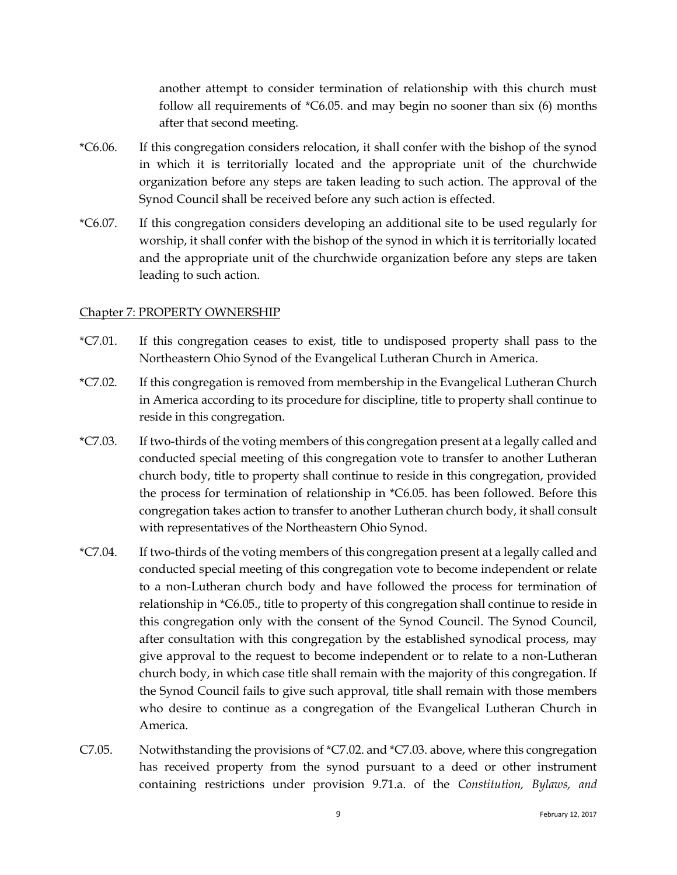another attempt to consider termination of relationship with this church must follow all requirements of \*C6.05. and may begin no sooner than six (6) months after that second meeting.

- \*C6.06. If this congregation considers relocation, it shall confer with the bishop of the synod in which it is territorially located and the appropriate unit of the churchwide organization before any steps are taken leading to such action. The approval of the Synod Council shall be received before any such action is effected.
- \*C6.07. If this congregation considers developing an additional site to be used regularly for worship, it shall confer with the bishop of the synod in which it is territorially located and the appropriate unit of the churchwide organization before any steps are taken leading to such action.

#### <span id="page-10-0"></span>Chapter 7: PROPERTY OWNERSHIP

- \*C7.01. If this congregation ceases to exist, title to undisposed property shall pass to the Northeastern Ohio Synod of the Evangelical Lutheran Church in America.
- \*C7.02. If this congregation is removed from membership in the Evangelical Lutheran Church in America according to its procedure for discipline, title to property shall continue to reside in this congregation.
- \*C7.03. If two-thirds of the voting members of this congregation present at a legally called and conducted special meeting of this congregation vote to transfer to another Lutheran church body, title to property shall continue to reside in this congregation, provided the process for termination of relationship in \*C6.05. has been followed. Before this congregation takes action to transfer to another Lutheran church body, it shall consult with representatives of the Northeastern Ohio Synod.
- \*C7.04. If two-thirds of the voting members of this congregation present at a legally called and conducted special meeting of this congregation vote to become independent or relate to a non-Lutheran church body and have followed the process for termination of relationship in \*C6.05., title to property of this congregation shall continue to reside in this congregation only with the consent of the Synod Council. The Synod Council, after consultation with this congregation by the established synodical process, may give approval to the request to become independent or to relate to a non-Lutheran church body, in which case title shall remain with the majority of this congregation. If the Synod Council fails to give such approval, title shall remain with those members who desire to continue as a congregation of the Evangelical Lutheran Church in America.
- C7.05. Notwithstanding the provisions of \*C7.02. and \*C7.03. above, where this congregation has received property from the synod pursuant to a deed or other instrument containing restrictions under provision 9.71.a. of the *Constitution, Bylaws, and*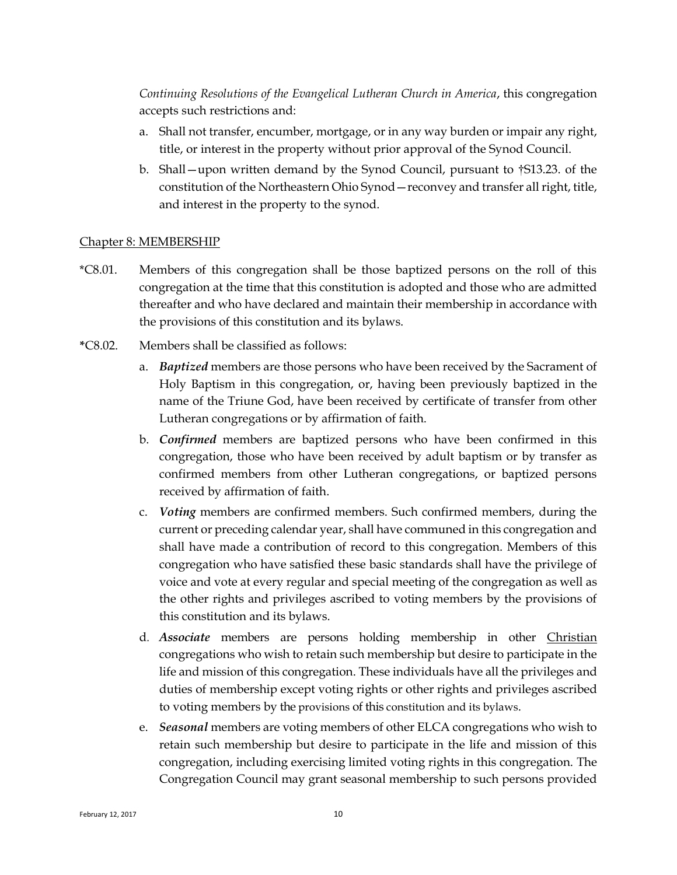*Continuing Resolutions of the Evangelical Lutheran Church in America*, this congregation accepts such restrictions and:

- a. Shall not transfer, encumber, mortgage, or in any way burden or impair any right, title, or interest in the property without prior approval of the Synod Council.
- b. Shall—upon written demand by the Synod Council, pursuant to †S13.23. of the constitution of the Northeastern Ohio Synod—reconvey and transfer all right, title, and interest in the property to the synod.

### <span id="page-11-0"></span>Chapter 8: MEMBERSHIP

- \*C8.01. Members of this congregation shall be those baptized persons on the roll of this congregation at the time that this constitution is adopted and those who are admitted thereafter and who have declared and maintain their membership in accordance with the provisions of this constitution and its bylaws.
- **\***C8.02. Members shall be classified as follows:
	- a. *Baptized* members are those persons who have been received by the Sacrament of Holy Baptism in this congregation, or, having been previously baptized in the name of the Triune God, have been received by certificate of transfer from other Lutheran congregations or by affirmation of faith.
	- b. *Confirmed* members are baptized persons who have been confirmed in this congregation, those who have been received by adult baptism or by transfer as confirmed members from other Lutheran congregations, or baptized persons received by affirmation of faith.
	- c. *Voting* members are confirmed members. Such confirmed members, during the current or preceding calendar year, shall have communed in this congregation and shall have made a contribution of record to this congregation. Members of this congregation who have satisfied these basic standards shall have the privilege of voice and vote at every regular and special meeting of the congregation as well as the other rights and privileges ascribed to voting members by the provisions of this constitution and its bylaws.
	- d. *Associate* members are persons holding membership in other Christian congregations who wish to retain such membership but desire to participate in the life and mission of this congregation. These individuals have all the privileges and duties of membership except voting rights or other rights and privileges ascribed to voting members by the provisions of this constitution and its bylaws.
	- e. *Seasonal* members are voting members of other ELCA congregations who wish to retain such membership but desire to participate in the life and mission of this congregation, including exercising limited voting rights in this congregation. The Congregation Council may grant seasonal membership to such persons provided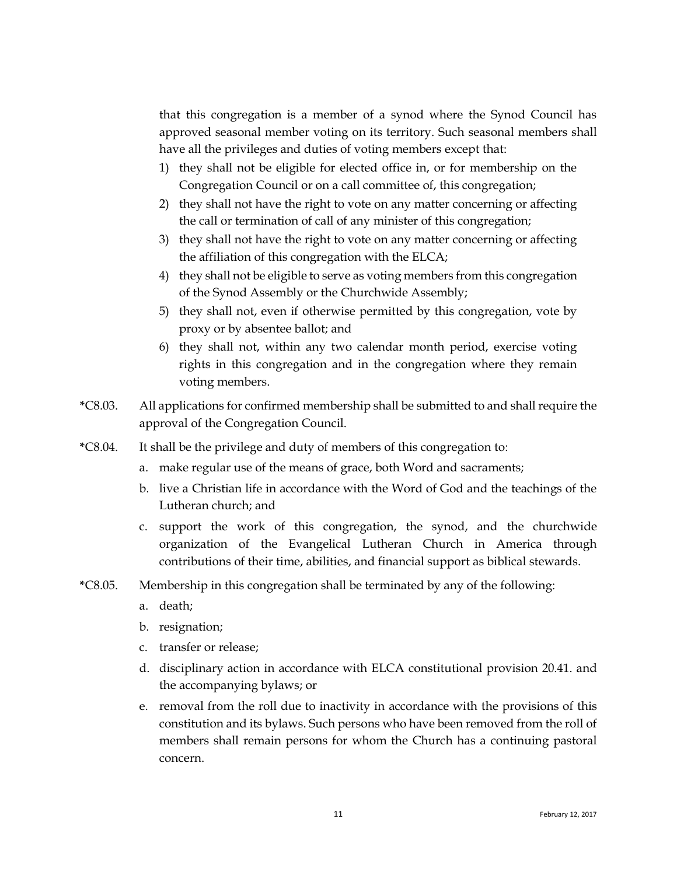that this congregation is a member of a synod where the Synod Council has approved seasonal member voting on its territory. Such seasonal members shall have all the privileges and duties of voting members except that:

- 1) they shall not be eligible for elected office in, or for membership on the Congregation Council or on a call committee of, this congregation;
- 2) they shall not have the right to vote on any matter concerning or affecting the call or termination of call of any minister of this congregation;
- 3) they shall not have the right to vote on any matter concerning or affecting the affiliation of this congregation with the ELCA;
- 4) they shall not be eligible to serve as voting members from this congregation of the Synod Assembly or the Churchwide Assembly;
- 5) they shall not, even if otherwise permitted by this congregation, vote by proxy or by absentee ballot; and
- 6) they shall not, within any two calendar month period, exercise voting rights in this congregation and in the congregation where they remain voting members.
- **\***C8.03. All applications for confirmed membership shall be submitted to and shall require the approval of the Congregation Council.
- **\***C8.04. It shall be the privilege and duty of members of this congregation to:
	- a. make regular use of the means of grace, both Word and sacraments;
	- b. live a Christian life in accordance with the Word of God and the teachings of the Lutheran church; and
	- c. support the work of this congregation, the synod, and the churchwide organization of the Evangelical Lutheran Church in America through contributions of their time, abilities, and financial support as biblical stewards.
- **\***C8.05. Membership in this congregation shall be terminated by any of the following:
	- a. death;
	- b. resignation;
	- c. transfer or release;
	- d. disciplinary action in accordance with ELCA constitutional provision 20.41. and the accompanying bylaws; or
	- e. removal from the roll due to inactivity in accordance with the provisions of this constitution and its bylaws. Such persons who have been removed from the roll of members shall remain persons for whom the Church has a continuing pastoral concern.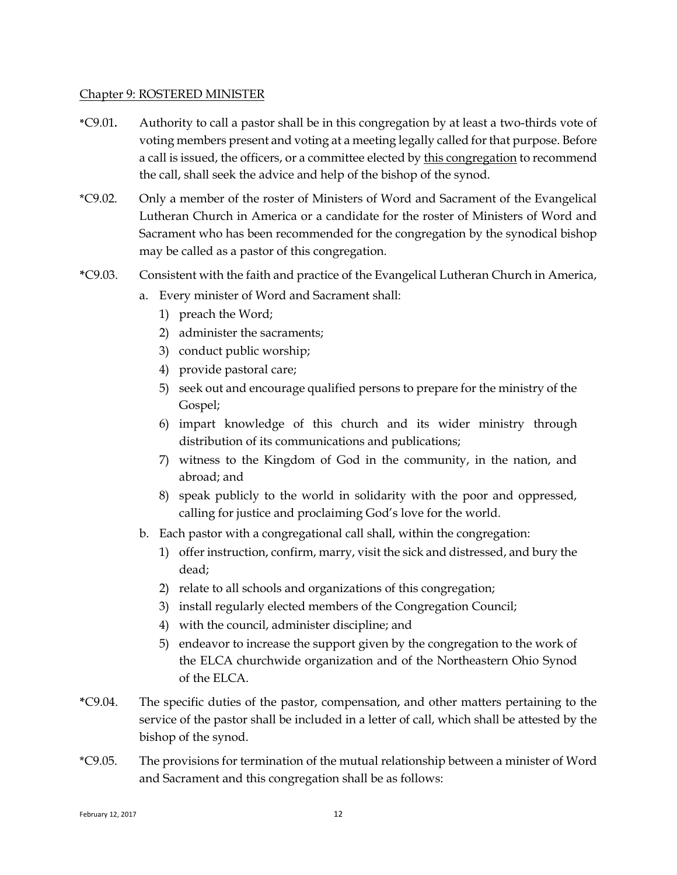#### <span id="page-13-0"></span>Chapter 9: ROSTERED MINISTER

- **\***C9.01**.** Authority to call a pastor shall be in this congregation by at least a two-thirds vote of voting members present and voting at a meeting legally called for that purpose. Before a call is issued, the officers, or a committee elected by this congregation to recommend the call, shall seek the advice and help of the bishop of the synod.
- \*C9.02. Only a member of the roster of Ministers of Word and Sacrament of the Evangelical Lutheran Church in America or a candidate for the roster of Ministers of Word and Sacrament who has been recommended for the congregation by the synodical bishop may be called as a pastor of this congregation.
- **\***C9.03. Consistent with the faith and practice of the Evangelical Lutheran Church in America,
	- a. Every minister of Word and Sacrament shall:
		- 1) preach the Word;
		- 2) administer the sacraments;
		- 3) conduct public worship;
		- 4) provide pastoral care;
		- 5) seek out and encourage qualified persons to prepare for the ministry of the Gospel;
		- 6) impart knowledge of this church and its wider ministry through distribution of its communications and publications;
		- 7) witness to the Kingdom of God in the community, in the nation, and abroad; and
		- 8) speak publicly to the world in solidarity with the poor and oppressed, calling for justice and proclaiming God's love for the world.
	- b. Each pastor with a congregational call shall, within the congregation:
		- 1) offer instruction, confirm, marry, visit the sick and distressed, and bury the dead;
		- 2) relate to all schools and organizations of this congregation;
		- 3) install regularly elected members of the Congregation Council;
		- 4) with the council, administer discipline; and
		- 5) endeavor to increase the support given by the congregation to the work of the ELCA churchwide organization and of the Northeastern Ohio Synod of the  $ELCA$
- **\***C9.04. The specific duties of the pastor, compensation, and other matters pertaining to the service of the pastor shall be included in a letter of call, which shall be attested by the bishop of the synod.
- \*C9.05. The provisions for termination of the mutual relationship between a minister of Word and Sacrament and this congregation shall be as follows: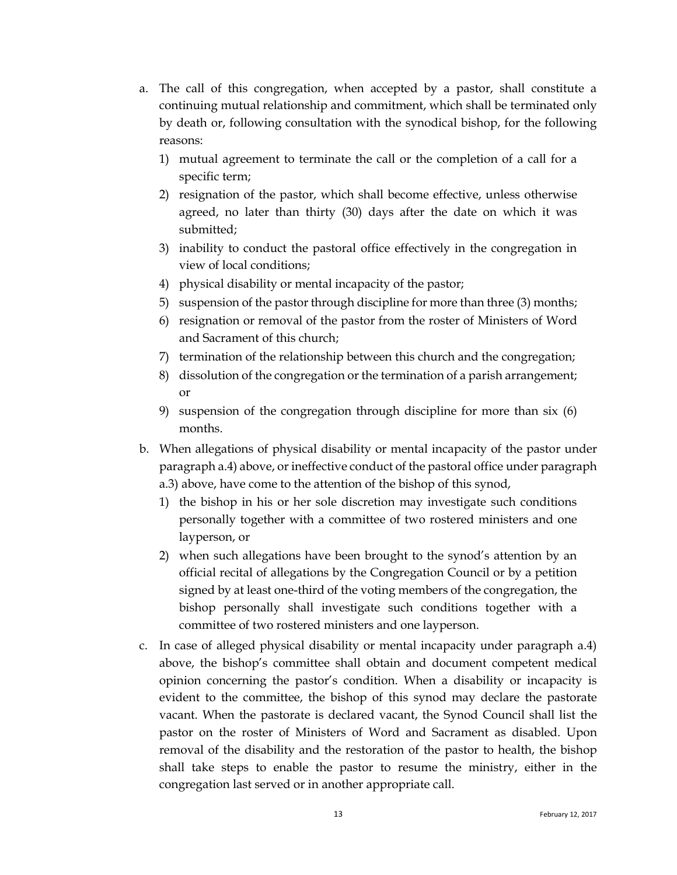- a. The call of this congregation, when accepted by a pastor, shall constitute a continuing mutual relationship and commitment, which shall be terminated only by death or, following consultation with the synodical bishop, for the following reasons:
	- 1) mutual agreement to terminate the call or the completion of a call for a specific term;
	- 2) resignation of the pastor, which shall become effective, unless otherwise agreed, no later than thirty (30) days after the date on which it was submitted;
	- 3) inability to conduct the pastoral office effectively in the congregation in view of local conditions;
	- 4) physical disability or mental incapacity of the pastor;
	- 5) suspension of the pastor through discipline for more than three  $(3)$  months;
	- 6) resignation or removal of the pastor from the roster of Ministers of Word and Sacrament of this church;
	- 7) termination of the relationship between this church and the congregation;
	- 8) dissolution of the congregation or the termination of a parish arrangement; or
	- 9) suspension of the congregation through discipline for more than six (6) months.
- b. When allegations of physical disability or mental incapacity of the pastor under paragraph a.4) above, or ineffective conduct of the pastoral office under paragraph a.3) above, have come to the attention of the bishop of this synod,
	- 1) the bishop in his or her sole discretion may investigate such conditions personally together with a committee of two rostered ministers and one layperson, or
	- 2) when such allegations have been brought to the synod's attention by an official recital of allegations by the Congregation Council or by a petition signed by at least one-third of the voting members of the congregation, the bishop personally shall investigate such conditions together with a committee of two rostered ministers and one layperson.
- c. In case of alleged physical disability or mental incapacity under paragraph a.4) above, the bishop's committee shall obtain and document competent medical opinion concerning the pastor's condition. When a disability or incapacity is evident to the committee, the bishop of this synod may declare the pastorate vacant. When the pastorate is declared vacant, the Synod Council shall list the pastor on the roster of Ministers of Word and Sacrament as disabled. Upon removal of the disability and the restoration of the pastor to health, the bishop shall take steps to enable the pastor to resume the ministry, either in the congregation last served or in another appropriate call.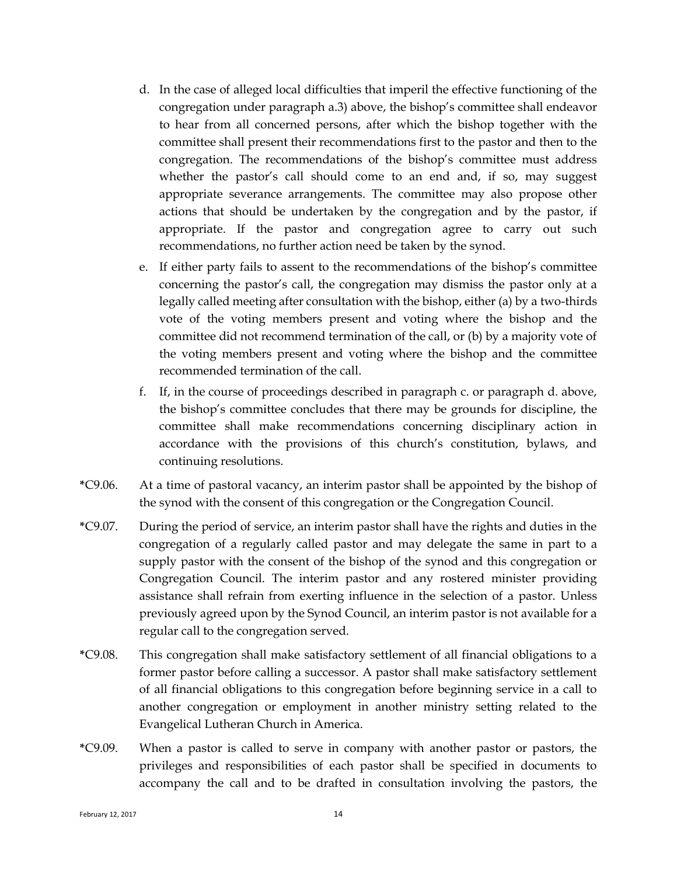- d. In the case of alleged local difficulties that imperil the effective functioning of the congregation under paragraph a.3) above, the bishop's committee shall endeavor to hear from all concerned persons, after which the bishop together with the committee shall present their recommendations first to the pastor and then to the congregation. The recommendations of the bishop's committee must address whether the pastor's call should come to an end and, if so, may suggest appropriate severance arrangements. The committee may also propose other actions that should be undertaken by the congregation and by the pastor, if appropriate. If the pastor and congregation agree to carry out such recommendations, no further action need be taken by the synod.
- e. If either party fails to assent to the recommendations of the bishop's committee concerning the pastor's call, the congregation may dismiss the pastor only at a legally called meeting after consultation with the bishop, either (a) by a two-thirds vote of the voting members present and voting where the bishop and the committee did not recommend termination of the call, or (b) by a majority vote of the voting members present and voting where the bishop and the committee recommended termination of the call.
- f. If, in the course of proceedings described in paragraph c. or paragraph d. above, the bishop's committee concludes that there may be grounds for discipline, the committee shall make recommendations concerning disciplinary action in accordance with the provisions of this church's constitution, bylaws, and continuing resolutions.
- **\***C9.06. At a time of pastoral vacancy, an interim pastor shall be appointed by the bishop of the synod with the consent of this congregation or the Congregation Council.
- **\***C9.07. During the period of service, an interim pastor shall have the rights and duties in the congregation of a regularly called pastor and may delegate the same in part to a supply pastor with the consent of the bishop of the synod and this congregation or Congregation Council. The interim pastor and any rostered minister providing assistance shall refrain from exerting influence in the selection of a pastor. Unless previously agreed upon by the Synod Council, an interim pastor is not available for a regular call to the congregation served.
- **\***C9.08. This congregation shall make satisfactory settlement of all financial obligations to a former pastor before calling a successor. A pastor shall make satisfactory settlement of all financial obligations to this congregation before beginning service in a call to another congregation or employment in another ministry setting related to the Evangelical Lutheran Church in America.
- **\***C9.09. When a pastor is called to serve in company with another pastor or pastors, the privileges and responsibilities of each pastor shall be specified in documents to accompany the call and to be drafted in consultation involving the pastors, the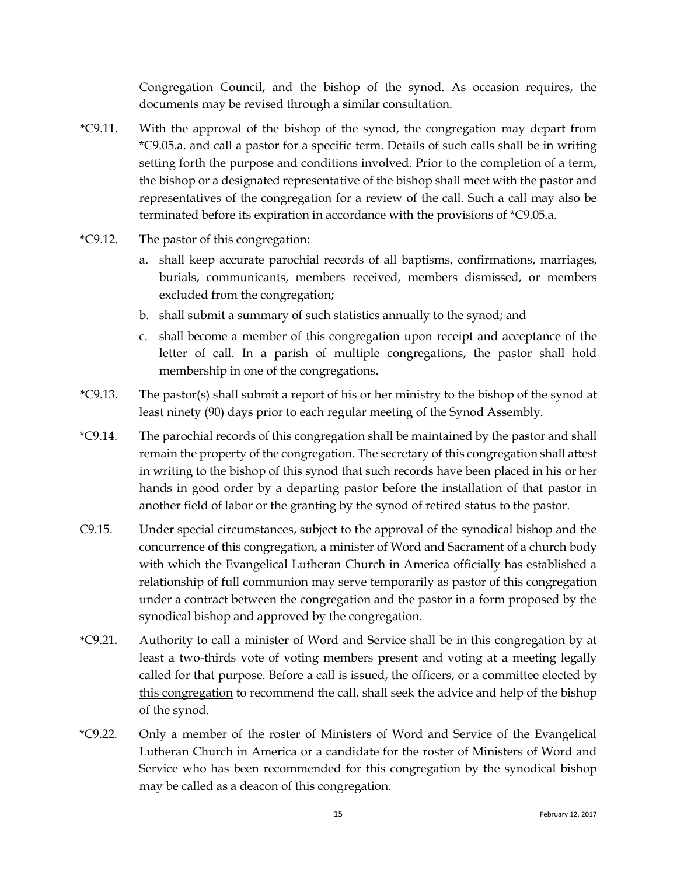Congregation Council, and the bishop of the synod. As occasion requires, the documents may be revised through a similar consultation.

- **\***C9.11. With the approval of the bishop of the synod, the congregation may depart from \*C9.05.a. and call a pastor for a specific term. Details of such calls shall be in writing setting forth the purpose and conditions involved. Prior to the completion of a term, the bishop or a designated representative of the bishop shall meet with the pastor and representatives of the congregation for a review of the call. Such a call may also be terminated before its expiration in accordance with the provisions of \*C9.05.a.
- **\***C9.12. The pastor of this congregation:
	- a. shall keep accurate parochial records of all baptisms, confirmations, marriages, burials, communicants, members received, members dismissed, or members excluded from the congregation;
	- b. shall submit a summary of such statistics annually to the synod; and
	- c. shall become a member of this congregation upon receipt and acceptance of the letter of call. In a parish of multiple congregations, the pastor shall hold membership in one of the congregations.
- **\***C9.13. The pastor(s) shall submit a report of his or her ministry to the bishop of the synod at least ninety (90) days prior to each regular meeting of the Synod Assembly.
- \*C9.14. The parochial records of this congregation shall be maintained by the pastor and shall remain the property of the congregation. The secretary of this congregation shall attest in writing to the bishop of this synod that such records have been placed in his or her hands in good order by a departing pastor before the installation of that pastor in another field of labor or the granting by the synod of retired status to the pastor.
- C9.15. Under special circumstances, subject to the approval of the synodical bishop and the concurrence of this congregation, a minister of Word and Sacrament of a church body with which the Evangelical Lutheran Church in America officially has established a relationship of full communion may serve temporarily as pastor of this congregation under a contract between the congregation and the pastor in a form proposed by the synodical bishop and approved by the congregation.
- **\***C9.21**.** Authority to call a minister of Word and Service shall be in this congregation by at least a two-thirds vote of voting members present and voting at a meeting legally called for that purpose. Before a call is issued, the officers, or a committee elected by this congregation to recommend the call, shall seek the advice and help of the bishop of the synod.
- \*C9.22. Only a member of the roster of Ministers of Word and Service of the Evangelical Lutheran Church in America or a candidate for the roster of Ministers of Word and Service who has been recommended for this congregation by the synodical bishop may be called as a deacon of this congregation.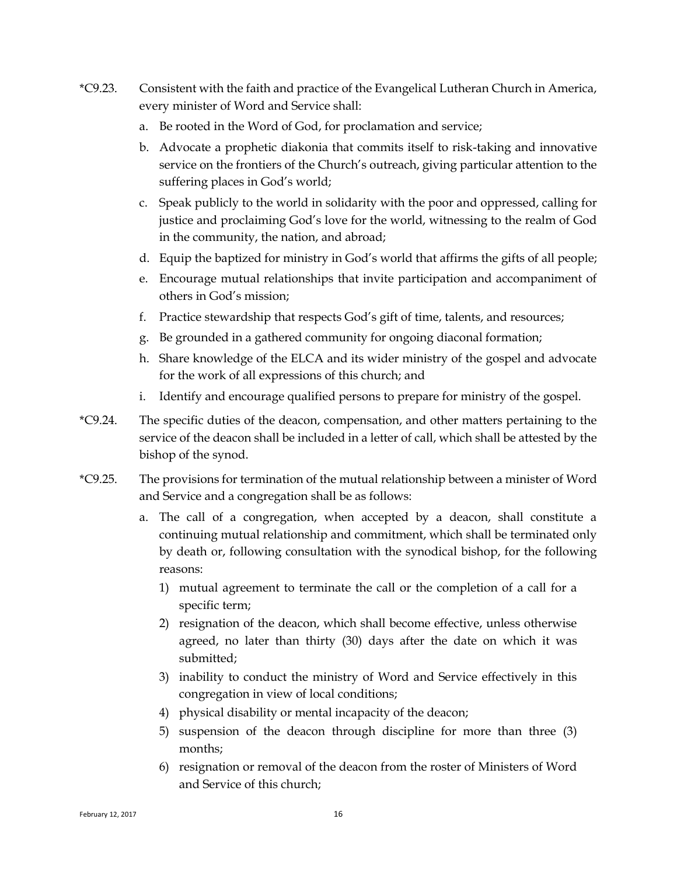- \*C9.23. Consistent with the faith and practice of the Evangelical Lutheran Church in America, every minister of Word and Service shall:
	- a. Be rooted in the Word of God, for proclamation and service;
	- b. Advocate a prophetic diakonia that commits itself to risk-taking and innovative service on the frontiers of the Church's outreach, giving particular attention to the suffering places in God's world;
	- c. Speak publicly to the world in solidarity with the poor and oppressed, calling for justice and proclaiming God's love for the world, witnessing to the realm of God in the community, the nation, and abroad;
	- d. Equip the baptized for ministry in God's world that affirms the gifts of all people;
	- e. Encourage mutual relationships that invite participation and accompaniment of others in God's mission;
	- f. Practice stewardship that respects God's gift of time, talents, and resources;
	- g. Be grounded in a gathered community for ongoing diaconal formation;
	- h. Share knowledge of the ELCA and its wider ministry of the gospel and advocate for the work of all expressions of this church; and
	- i. Identify and encourage qualified persons to prepare for ministry of the gospel.
- \*C9.24. The specific duties of the deacon, compensation, and other matters pertaining to the service of the deacon shall be included in a letter of call, which shall be attested by the bishop of the synod.
- \*C9.25. The provisions for termination of the mutual relationship between a minister of Word and Service and a congregation shall be as follows:
	- a. The call of a congregation, when accepted by a deacon, shall constitute a continuing mutual relationship and commitment, which shall be terminated only by death or, following consultation with the synodical bishop, for the following reasons:
		- 1) mutual agreement to terminate the call or the completion of a call for a specific term;
		- 2) resignation of the deacon, which shall become effective, unless otherwise agreed, no later than thirty (30) days after the date on which it was submitted;
		- 3) inability to conduct the ministry of Word and Service effectively in this congregation in view of local conditions;
		- 4) physical disability or mental incapacity of the deacon;
		- 5) suspension of the deacon through discipline for more than three (3) months;
		- 6) resignation or removal of the deacon from the roster of Ministers of Word and Service of this church;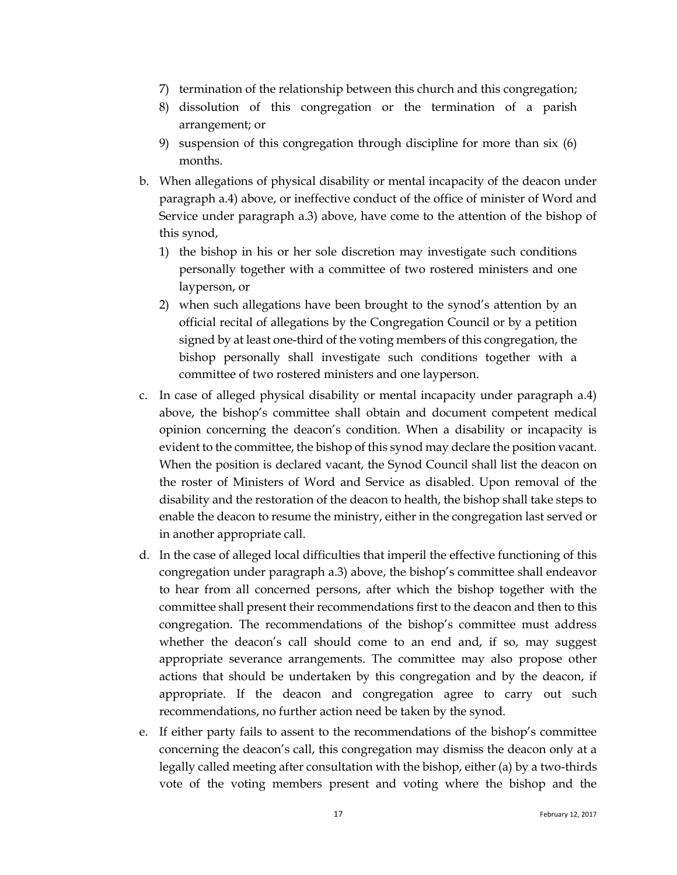- 7) termination of the relationship between this church and this congregation;
- 8) dissolution of this congregation or the termination of a parish arrangement; or
- 9) suspension of this congregation through discipline for more than six (6) months.
- b. When allegations of physical disability or mental incapacity of the deacon under paragraph a.4) above, or ineffective conduct of the office of minister of Word and Service under paragraph a.3) above, have come to the attention of the bishop of this synod,
	- 1) the bishop in his or her sole discretion may investigate such conditions personally together with a committee of two rostered ministers and one layperson, or
	- 2) when such allegations have been brought to the synod's attention by an official recital of allegations by the Congregation Council or by a petition signed by at least one-third of the voting members of this congregation, the bishop personally shall investigate such conditions together with a committee of two rostered ministers and one layperson.
- c. In case of alleged physical disability or mental incapacity under paragraph a.4) above, the bishop's committee shall obtain and document competent medical opinion concerning the deacon's condition. When a disability or incapacity is evident to the committee, the bishop of this synod may declare the position vacant. When the position is declared vacant, the Synod Council shall list the deacon on the roster of Ministers of Word and Service as disabled. Upon removal of the disability and the restoration of the deacon to health, the bishop shall take steps to enable the deacon to resume the ministry, either in the congregation last served or in another appropriate call.
- d. In the case of alleged local difficulties that imperil the effective functioning of this congregation under paragraph a.3) above, the bishop's committee shall endeavor to hear from all concerned persons, after which the bishop together with the committee shall present their recommendations first to the deacon and then to this congregation. The recommendations of the bishop's committee must address whether the deacon's call should come to an end and, if so, may suggest appropriate severance arrangements. The committee may also propose other actions that should be undertaken by this congregation and by the deacon, if appropriate. If the deacon and congregation agree to carry out such recommendations, no further action need be taken by the synod.
- e. If either party fails to assent to the recommendations of the bishop's committee concerning the deacon's call, this congregation may dismiss the deacon only at a legally called meeting after consultation with the bishop, either (a) by a two-thirds vote of the voting members present and voting where the bishop and the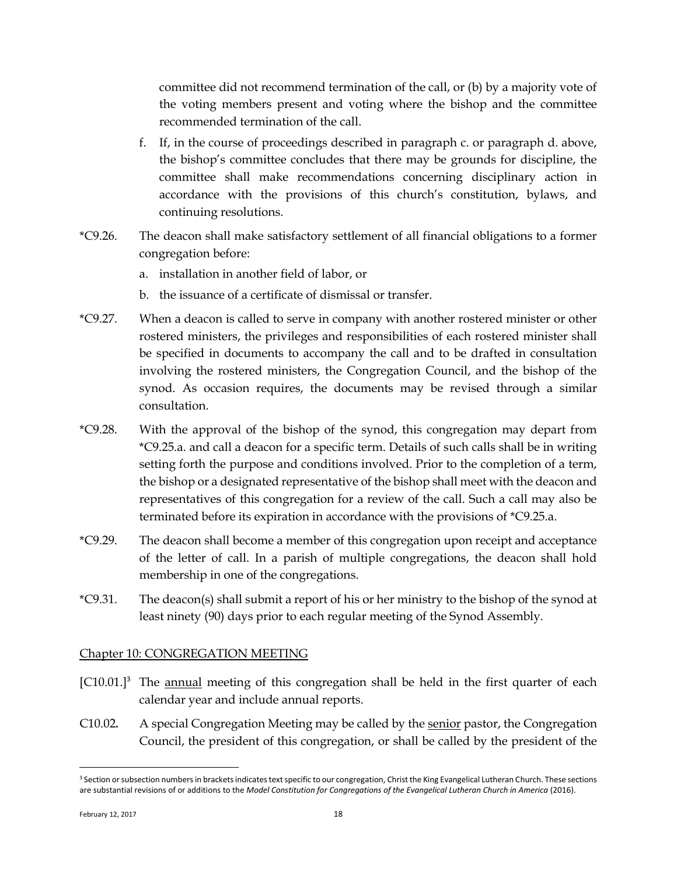committee did not recommend termination of the call, or (b) by a majority vote of the voting members present and voting where the bishop and the committee recommended termination of the call.

- f. If, in the course of proceedings described in paragraph c. or paragraph d. above, the bishop's committee concludes that there may be grounds for discipline, the committee shall make recommendations concerning disciplinary action in accordance with the provisions of this church's constitution, bylaws, and continuing resolutions.
- \*C9.26. The deacon shall make satisfactory settlement of all financial obligations to a former congregation before:
	- a. installation in another field of labor, or
	- b. the issuance of a certificate of dismissal or transfer.
- \*C9.27. When a deacon is called to serve in company with another rostered minister or other rostered ministers, the privileges and responsibilities of each rostered minister shall be specified in documents to accompany the call and to be drafted in consultation involving the rostered ministers, the Congregation Council, and the bishop of the synod. As occasion requires, the documents may be revised through a similar consultation.
- \*C9.28. With the approval of the bishop of the synod, this congregation may depart from \*C9.25.a. and call a deacon for a specific term. Details of such calls shall be in writing setting forth the purpose and conditions involved. Prior to the completion of a term, the bishop or a designated representative of the bishop shall meet with the deacon and representatives of this congregation for a review of the call. Such a call may also be terminated before its expiration in accordance with the provisions of \*C9.25.a.
- \*C9.29. The deacon shall become a member of this congregation upon receipt and acceptance of the letter of call. In a parish of multiple congregations, the deacon shall hold membership in one of the congregations.
- \*C9.31. The deacon(s) shall submit a report of his or her ministry to the bishop of the synod at least ninety (90) days prior to each regular meeting of the Synod Assembly.

### <span id="page-19-0"></span>Chapter 10: CONGREGATION MEETING

- [C10.01.]<sup>3</sup> The annual meeting of this congregation shall be held in the first quarter of each calendar year and include annual reports.
- C10.02**.** A special Congregation Meeting may be called by the senior pastor, the Congregation Council, the president of this congregation, or shall be called by the president of the

 $\overline{a}$ 

<sup>&</sup>lt;sup>3</sup> Section or subsection numbers in brackets indicates text specific to our congregation, Christ the King Evangelical Lutheran Church. These sections are substantial revisions of or additions to the *Model Constitution for Congregations of the Evangelical Lutheran Church in America* (2016).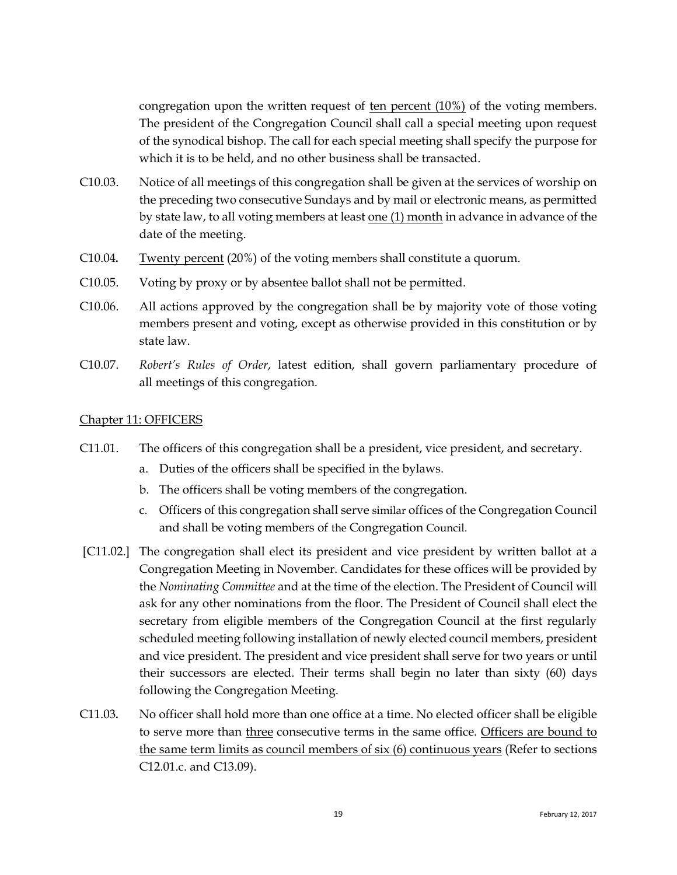congregation upon the written request of ten percent (10%) of the voting members. The president of the Congregation Council shall call a special meeting upon request of the synodical bishop. The call for each special meeting shall specify the purpose for which it is to be held, and no other business shall be transacted.

- C10.03. Notice of all meetings of this congregation shall be given at the services of worship on the preceding two consecutive Sundays and by mail or electronic means, as permitted by state law, to all voting members at least one (1) month in advance in advance of the date of the meeting.
- C10.04**.** Twenty percent (20%) of the voting members shall constitute a quorum.
- C10.05. Voting by proxy or by absentee ballot shall not be permitted.
- C10.06. All actions approved by the congregation shall be by majority vote of those voting members present and voting, except as otherwise provided in this constitution or by state law.
- C10.07. *Robert's Rules of Order*, latest edition, shall govern parliamentary procedure of all meetings of this congregation.

#### <span id="page-20-0"></span>Chapter 11: OFFICERS

- C11.01. The officers of this congregation shall be a president, vice president, and secretary.
	- a. Duties of the officers shall be specified in the bylaws.
	- b. The officers shall be voting members of the congregation.
	- c. Officers of this congregation shall serve similar offices of the Congregation Council and shall be voting members of the Congregation Council.
- [C11.02.] The congregation shall elect its president and vice president by written ballot at a Congregation Meeting in November. Candidates for these offices will be provided by the *Nominating Committee* and at the time of the election. The President of Council will ask for any other nominations from the floor. The President of Council shall elect the secretary from eligible members of the Congregation Council at the first regularly scheduled meeting following installation of newly elected council members, president and vice president. The president and vice president shall serve for two years or until their successors are elected. Their terms shall begin no later than sixty (60) days following the Congregation Meeting.
- C11.03**.** No officer shall hold more than one office at a time. No elected officer shall be eligible to serve more than three consecutive terms in the same office. Officers are bound to the same term limits as council members of six (6) continuous years (Refer to sections C12.01.c. and C13.09).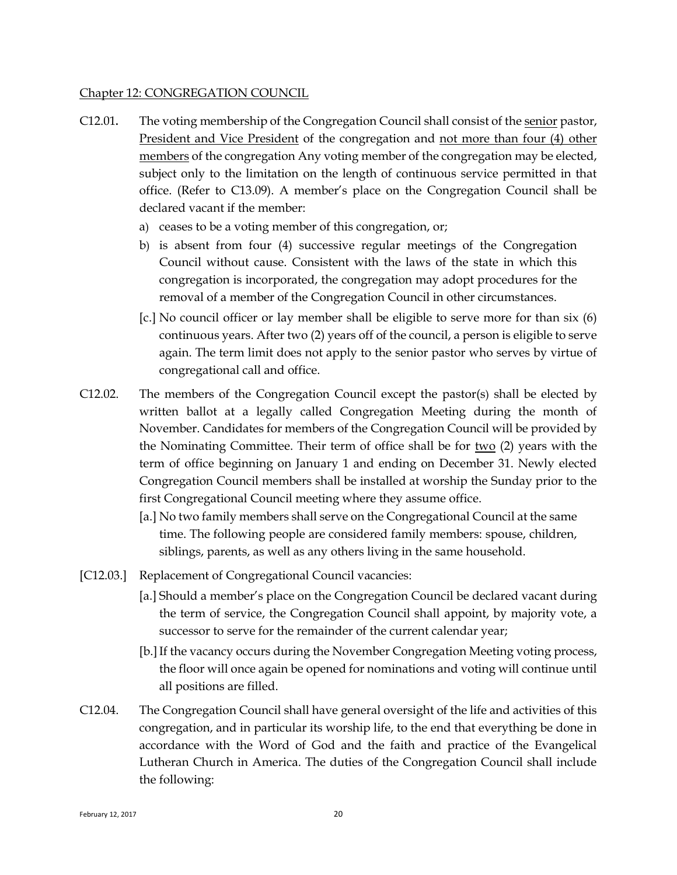#### <span id="page-21-0"></span>Chapter 12: CONGREGATION COUNCIL

- C12.01**.** The voting membership of the Congregation Council shall consist of the senior pastor, President and Vice President of the congregation and not more than four (4) other members of the congregation Any voting member of the congregation may be elected, subject only to the limitation on the length of continuous service permitted in that office. (Refer to C13.09). A member's place on the Congregation Council shall be declared vacant if the member:
	- a) ceases to be a voting member of this congregation, or;
	- b) is absent from four (4) successive regular meetings of the Congregation Council without cause. Consistent with the laws of the state in which this congregation is incorporated, the congregation may adopt procedures for the removal of a member of the Congregation Council in other circumstances.
	- [c.] No council officer or lay member shall be eligible to serve more for than six (6) continuous years. After two (2) years off of the council, a person is eligible to serve again. The term limit does not apply to the senior pastor who serves by virtue of congregational call and office.
- C12.02. The members of the Congregation Council except the pastor(s) shall be elected by written ballot at a legally called Congregation Meeting during the month of November. Candidates for members of the Congregation Council will be provided by the Nominating Committee. Their term of office shall be for two (2) years with the term of office beginning on January 1 and ending on December 31. Newly elected Congregation Council members shall be installed at worship the Sunday prior to the first Congregational Council meeting where they assume office.
	- [a.] No two family members shall serve on the Congregational Council at the same time. The following people are considered family members: spouse, children, siblings, parents, as well as any others living in the same household.
- [C12.03.] Replacement of Congregational Council vacancies:
	- [a.] Should a member's place on the Congregation Council be declared vacant during the term of service, the Congregation Council shall appoint, by majority vote, a successor to serve for the remainder of the current calendar year;
	- [b.] If the vacancy occurs during the November Congregation Meeting voting process, the floor will once again be opened for nominations and voting will continue until all positions are filled.
- C12.04. The Congregation Council shall have general oversight of the life and activities of this congregation, and in particular its worship life, to the end that everything be done in accordance with the Word of God and the faith and practice of the Evangelical Lutheran Church in America. The duties of the Congregation Council shall include the following: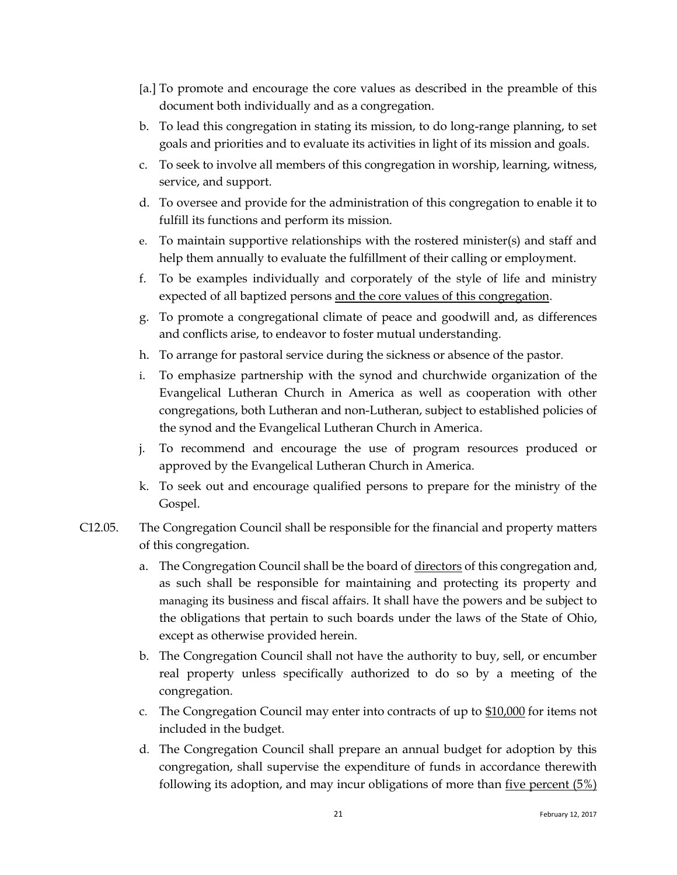- [a.] To promote and encourage the core values as described in the preamble of this document both individually and as a congregation.
- b. To lead this congregation in stating its mission, to do long-range planning, to set goals and priorities and to evaluate its activities in light of its mission and goals.
- c. To seek to involve all members of this congregation in worship, learning, witness, service, and support.
- d. To oversee and provide for the administration of this congregation to enable it to fulfill its functions and perform its mission.
- e. To maintain supportive relationships with the rostered minister(s) and staff and help them annually to evaluate the fulfillment of their calling or employment.
- f. To be examples individually and corporately of the style of life and ministry expected of all baptized persons and the core values of this congregation.
- g. To promote a congregational climate of peace and goodwill and, as differences and conflicts arise, to endeavor to foster mutual understanding.
- h. To arrange for pastoral service during the sickness or absence of the pastor.
- i. To emphasize partnership with the synod and churchwide organization of the Evangelical Lutheran Church in America as well as cooperation with other congregations, both Lutheran and non-Lutheran, subject to established policies of the synod and the Evangelical Lutheran Church in America.
- j. To recommend and encourage the use of program resources produced or approved by the Evangelical Lutheran Church in America.
- k. To seek out and encourage qualified persons to prepare for the ministry of the Gospel.
- C12.05. The Congregation Council shall be responsible for the financial and property matters of this congregation.
	- a. The Congregation Council shall be the board of directors of this congregation and, as such shall be responsible for maintaining and protecting its property and managing its business and fiscal affairs. It shall have the powers and be subject to the obligations that pertain to such boards under the laws of the State of Ohio, except as otherwise provided herein.
	- b. The Congregation Council shall not have the authority to buy, sell, or encumber real property unless specifically authorized to do so by a meeting of the congregation.
	- c. The Congregation Council may enter into contracts of up to \$10,000 for items not included in the budget.
	- d. The Congregation Council shall prepare an annual budget for adoption by this congregation, shall supervise the expenditure of funds in accordance therewith following its adoption, and may incur obligations of more than five percent (5%)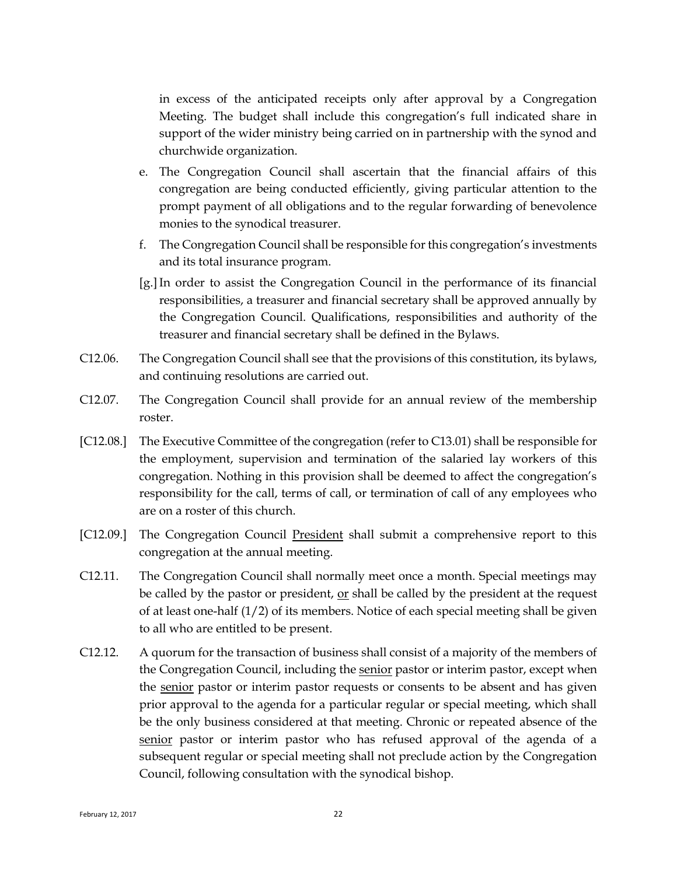in excess of the anticipated receipts only after approval by a Congregation Meeting. The budget shall include this congregation's full indicated share in support of the wider ministry being carried on in partnership with the synod and churchwide organization.

- e. The Congregation Council shall ascertain that the financial affairs of this congregation are being conducted efficiently, giving particular attention to the prompt payment of all obligations and to the regular forwarding of benevolence monies to the synodical treasurer.
- f. The Congregation Council shall be responsible for this congregation's investments and its total insurance program.
- [g.]In order to assist the Congregation Council in the performance of its financial responsibilities, a treasurer and financial secretary shall be approved annually by the Congregation Council. Qualifications, responsibilities and authority of the treasurer and financial secretary shall be defined in the Bylaws.
- C12.06. The Congregation Council shall see that the provisions of this constitution, its bylaws, and continuing resolutions are carried out.
- C12.07. The Congregation Council shall provide for an annual review of the membership roster.
- [C12.08.] The Executive Committee of the congregation (refer to C13.01) shall be responsible for the employment, supervision and termination of the salaried lay workers of this congregation. Nothing in this provision shall be deemed to affect the congregation's responsibility for the call, terms of call, or termination of call of any employees who are on a roster of this church.
- [C12.09.] The Congregation Council President shall submit a comprehensive report to this congregation at the annual meeting.
- C12.11. The Congregation Council shall normally meet once a month. Special meetings may be called by the pastor or president, or shall be called by the president at the request of at least one-half  $(1/2)$  of its members. Notice of each special meeting shall be given to all who are entitled to be present.
- C12.12. A quorum for the transaction of business shall consist of a majority of the members of the Congregation Council, including the senior pastor or interim pastor, except when the senior pastor or interim pastor requests or consents to be absent and has given prior approval to the agenda for a particular regular or special meeting, which shall be the only business considered at that meeting. Chronic or repeated absence of the senior pastor or interim pastor who has refused approval of the agenda of a subsequent regular or special meeting shall not preclude action by the Congregation Council, following consultation with the synodical bishop.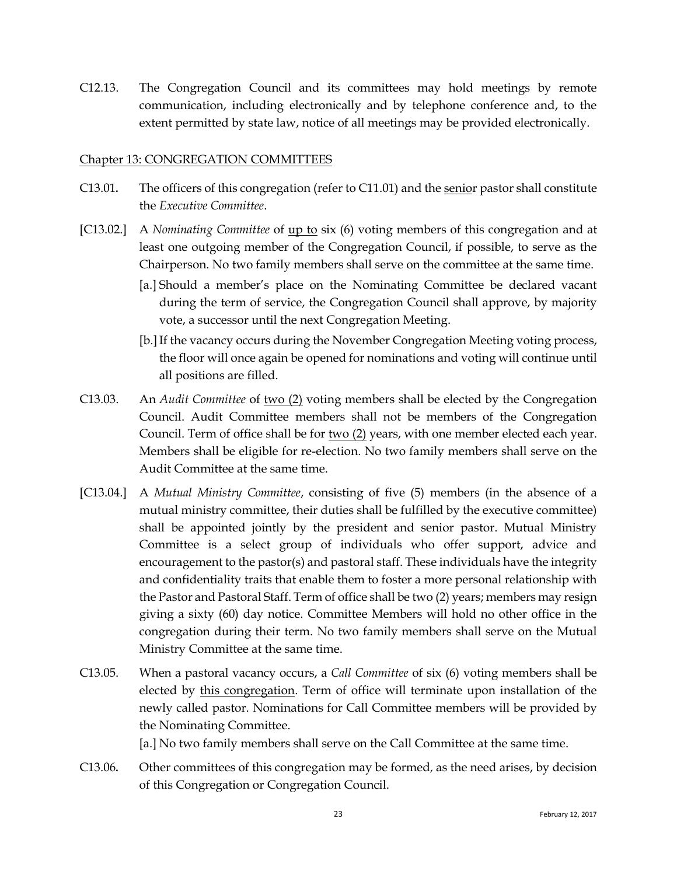C12.13. The Congregation Council and its committees may hold meetings by remote communication, including electronically and by telephone conference and, to the extent permitted by state law, notice of all meetings may be provided electronically.

#### <span id="page-24-0"></span>Chapter 13: CONGREGATION COMMITTEES

- C13.01**.** The officers of this congregation (refer to C11.01) and the senior pastor shall constitute the *Executive Committee*.
- [C13.02.] A *Nominating Committee* of up to six (6) voting members of this congregation and at least one outgoing member of the Congregation Council, if possible, to serve as the Chairperson. No two family members shall serve on the committee at the same time.
	- [a.] Should a member's place on the Nominating Committee be declared vacant during the term of service, the Congregation Council shall approve, by majority vote, a successor until the next Congregation Meeting.
	- [b.]If the vacancy occurs during the November Congregation Meeting voting process, the floor will once again be opened for nominations and voting will continue until all positions are filled.
- C13.03. An *Audit Committee* of two (2) voting members shall be elected by the Congregation Council. Audit Committee members shall not be members of the Congregation Council. Term of office shall be for two  $(2)$  years, with one member elected each year. Members shall be eligible for re-election. No two family members shall serve on the Audit Committee at the same time.
- [C13.04.] A *Mutual Ministry Committee*, consisting of five (5) members (in the absence of a mutual ministry committee, their duties shall be fulfilled by the executive committee) shall be appointed jointly by the president and senior pastor. Mutual Ministry Committee is a select group of individuals who offer support, advice and encouragement to the pastor(s) and pastoral staff. These individuals have the integrity and confidentiality traits that enable them to foster a more personal relationship with the Pastor and Pastoral Staff. Term of office shall be two (2) years; members may resign giving a sixty (60) day notice. Committee Members will hold no other office in the congregation during their term. No two family members shall serve on the Mutual Ministry Committee at the same time.
- C13.05. When a pastoral vacancy occurs, a *Call Committee* of six (6) voting members shall be elected by this congregation. Term of office will terminate upon installation of the newly called pastor. Nominations for Call Committee members will be provided by the Nominating Committee.

[a.] No two family members shall serve on the Call Committee at the same time.

C13.06**.** Other committees of this congregation may be formed, as the need arises, by decision of this Congregation or Congregation Council.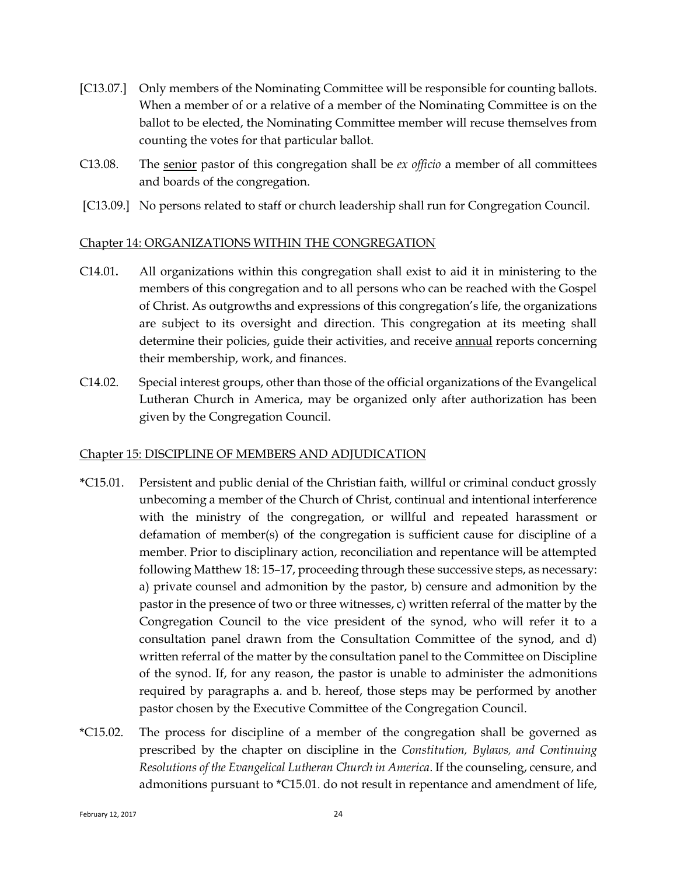- [C13.07.] Only members of the Nominating Committee will be responsible for counting ballots. When a member of or a relative of a member of the Nominating Committee is on the ballot to be elected, the Nominating Committee member will recuse themselves from counting the votes for that particular ballot.
- C13.08. The senior pastor of this congregation shall be *ex officio* a member of all committees and boards of the congregation.
- <span id="page-25-0"></span>[C13.09.] No persons related to staff or church leadership shall run for Congregation Council.

#### Chapter 14: ORGANIZATIONS WITHIN THE CONGREGATION

- C14.01**.** All organizations within this congregation shall exist to aid it in ministering to the members of this congregation and to all persons who can be reached with the Gospel of Christ. As outgrowths and expressions of this congregation's life, the organizations are subject to its oversight and direction. This congregation at its meeting shall determine their policies, guide their activities, and receive annual reports concerning their membership, work, and finances.
- C14.02. Special interest groups, other than those of the official organizations of the Evangelical Lutheran Church in America, may be organized only after authorization has been given by the Congregation Council.

#### <span id="page-25-1"></span>Chapter 15: DISCIPLINE OF MEMBERS AND ADJUDICATION

- **\***C15.01. Persistent and public denial of the Christian faith, willful or criminal conduct grossly unbecoming a member of the Church of Christ, continual and intentional interference with the ministry of the congregation, or willful and repeated harassment or defamation of member(s) of the congregation is sufficient cause for discipline of a member. Prior to disciplinary action, reconciliation and repentance will be attempted following Matthew 18: 15–17, proceeding through these successive steps, as necessary: a) private counsel and admonition by the pastor, b) censure and admonition by the pastor in the presence of two or three witnesses, c) written referral of the matter by the Congregation Council to the vice president of the synod, who will refer it to a consultation panel drawn from the Consultation Committee of the synod, and d) written referral of the matter by the consultation panel to the Committee on Discipline of the synod. If, for any reason, the pastor is unable to administer the admonitions required by paragraphs a. and b. hereof, those steps may be performed by another pastor chosen by the Executive Committee of the Congregation Council.
- \*C15.02. The process for discipline of a member of the congregation shall be governed as prescribed by the chapter on discipline in the *Constitution, Bylaws, and Continuing Resolutions of the Evangelical Lutheran Church in America*. If the counseling, censure, and admonitions pursuant to \*C15.01. do not result in repentance and amendment of life,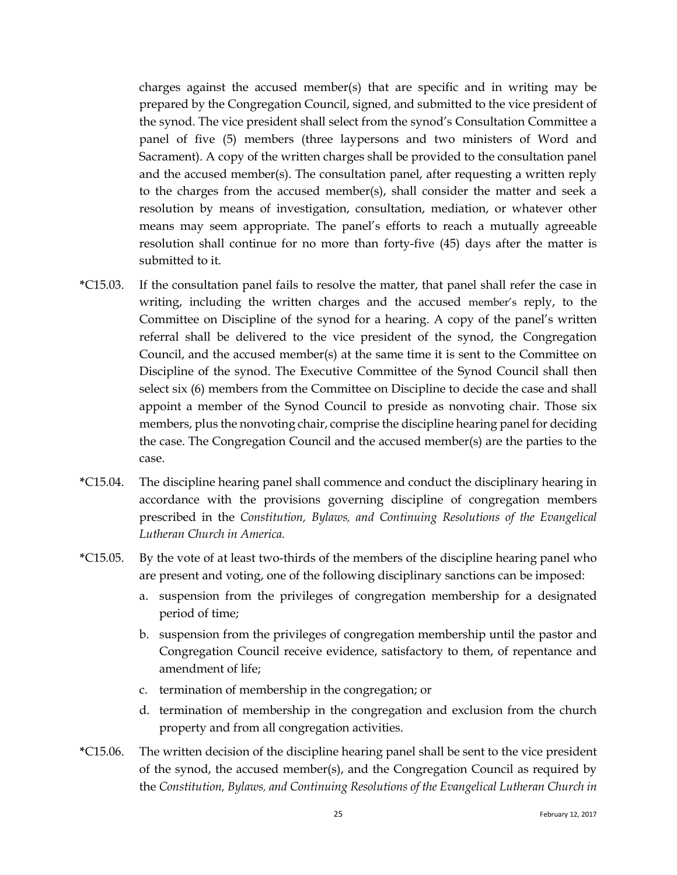charges against the accused member(s) that are specific and in writing may be prepared by the Congregation Council, signed, and submitted to the vice president of the synod. The vice president shall select from the synod's Consultation Committee a panel of five (5) members (three laypersons and two ministers of Word and Sacrament). A copy of the written charges shall be provided to the consultation panel and the accused member(s). The consultation panel, after requesting a written reply to the charges from the accused member(s), shall consider the matter and seek a resolution by means of investigation, consultation, mediation, or whatever other means may seem appropriate. The panel's efforts to reach a mutually agreeable resolution shall continue for no more than forty-five (45) days after the matter is submitted to it.

- **\***C15.03. If the consultation panel fails to resolve the matter, that panel shall refer the case in writing, including the written charges and the accused member's reply, to the Committee on Discipline of the synod for a hearing. A copy of the panel's written referral shall be delivered to the vice president of the synod, the Congregation Council, and the accused member(s) at the same time it is sent to the Committee on Discipline of the synod. The Executive Committee of the Synod Council shall then select six (6) members from the Committee on Discipline to decide the case and shall appoint a member of the Synod Council to preside as nonvoting chair. Those six members, plus the nonvoting chair, comprise the discipline hearing panel for deciding the case. The Congregation Council and the accused member(s) are the parties to the case.
- **\***C15.04. The discipline hearing panel shall commence and conduct the disciplinary hearing in accordance with the provisions governing discipline of congregation members prescribed in the *Constitution, Bylaws, and Continuing Resolutions of the Evangelical Lutheran Church in America.*
- **\***C15.05. By the vote of at least two-thirds of the members of the discipline hearing panel who are present and voting, one of the following disciplinary sanctions can be imposed:
	- a. suspension from the privileges of congregation membership for a designated period of time;
	- b. suspension from the privileges of congregation membership until the pastor and Congregation Council receive evidence, satisfactory to them, of repentance and amendment of life;
	- c. termination of membership in the congregation; or
	- d. termination of membership in the congregation and exclusion from the church property and from all congregation activities.
- **\***C15.06. The written decision of the discipline hearing panel shall be sent to the vice president of the synod, the accused member(s), and the Congregation Council as required by the *Constitution, Bylaws, and Continuing Resolutions of the Evangelical Lutheran Church in*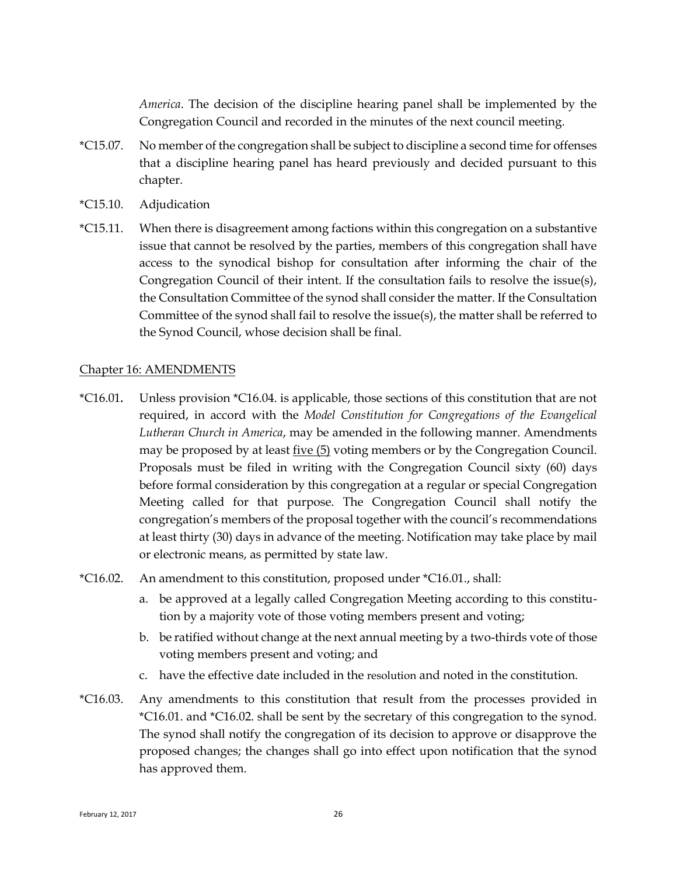*America*. The decision of the discipline hearing panel shall be implemented by the Congregation Council and recorded in the minutes of the next council meeting.

- \*C15.07. No member of the congregation shall be subject to discipline a second time for offenses that a discipline hearing panel has heard previously and decided pursuant to this chapter.
- \*C15.10. Adjudication
- \*C15.11. When there is disagreement among factions within this congregation on a substantive issue that cannot be resolved by the parties, members of this congregation shall have access to the synodical bishop for consultation after informing the chair of the Congregation Council of their intent. If the consultation fails to resolve the issue(s), the Consultation Committee of the synod shall consider the matter. If the Consultation Committee of the synod shall fail to resolve the issue(s), the matter shall be referred to the Synod Council, whose decision shall be final.

#### <span id="page-27-0"></span>Chapter 16: AMENDMENTS

- \*C16.01**.** Unless provision \*C16.04. is applicable, those sections of this constitution that are not required, in accord with the *Model Constitution for Congregations of the Evangelical Lutheran Church in America*, may be amended in the following manner. Amendments may be proposed by at least five (5) voting members or by the Congregation Council. Proposals must be filed in writing with the Congregation Council sixty (60) days before formal consideration by this congregation at a regular or special Congregation Meeting called for that purpose. The Congregation Council shall notify the congregation's members of the proposal together with the council's recommendations at least thirty (30) days in advance of the meeting. Notification may take place by mail or electronic means, as permitted by state law.
- \*C16.02. An amendment to this constitution, proposed under \*C16.01., shall:
	- a. be approved at a legally called Congregation Meeting according to this constitution by a majority vote of those voting members present and voting;
	- b. be ratified without change at the next annual meeting by a two-thirds vote of those voting members present and voting; and
	- c. have the effective date included in the resolution and noted in the constitution.
- \*C16.03. Any amendments to this constitution that result from the processes provided in \*C16.01. and \*C16.02. shall be sent by the secretary of this congregation to the synod. The synod shall notify the congregation of its decision to approve or disapprove the proposed changes; the changes shall go into effect upon notification that the synod has approved them.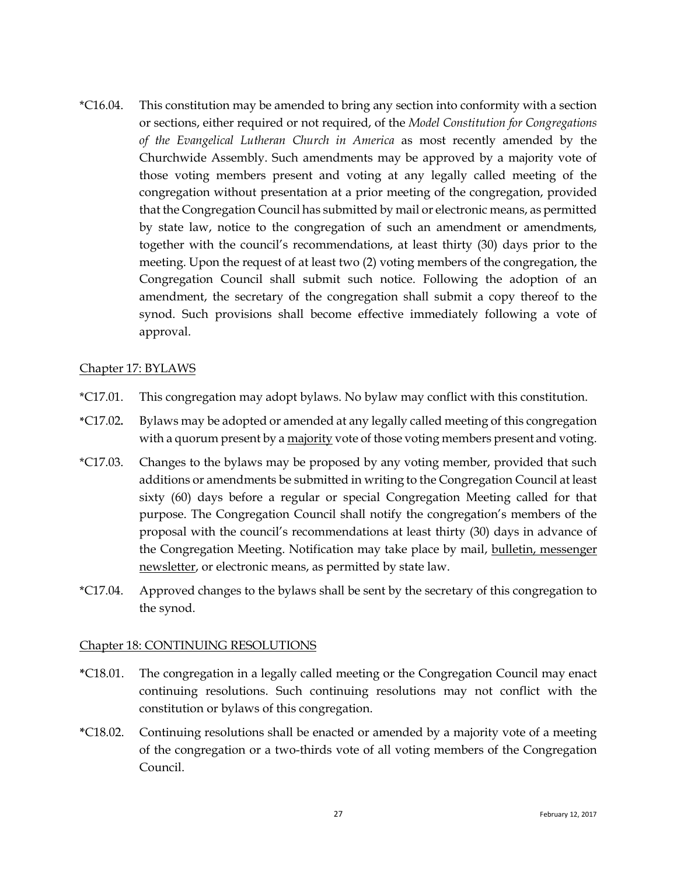\*C16.04. This constitution may be amended to bring any section into conformity with a section or sections, either required or not required, of the *Model Constitution for Congregations of the Evangelical Lutheran Church in America* as most recently amended by the Churchwide Assembly. Such amendments may be approved by a majority vote of those voting members present and voting at any legally called meeting of the congregation without presentation at a prior meeting of the congregation, provided that the Congregation Council has submitted by mail or electronic means, as permitted by state law, notice to the congregation of such an amendment or amendments, together with the council's recommendations, at least thirty (30) days prior to the meeting. Upon the request of at least two (2) voting members of the congregation, the Congregation Council shall submit such notice. Following the adoption of an amendment, the secretary of the congregation shall submit a copy thereof to the synod. Such provisions shall become effective immediately following a vote of approval.

#### <span id="page-28-0"></span>Chapter 17: BYLAWS

- \*C17.01. This congregation may adopt bylaws. No bylaw may conflict with this constitution.
- **\***C17.02**.** Bylaws may be adopted or amended at any legally called meeting of this congregation with a quorum present by a majority vote of those voting members present and voting.
- \*C17.03. Changes to the bylaws may be proposed by any voting member, provided that such additions or amendments be submitted in writing to the Congregation Council at least sixty (60) days before a regular or special Congregation Meeting called for that purpose. The Congregation Council shall notify the congregation's members of the proposal with the council's recommendations at least thirty (30) days in advance of the Congregation Meeting. Notification may take place by mail, bulletin, messenger newsletter, or electronic means, as permitted by state law.
- \*C17.04. Approved changes to the bylaws shall be sent by the secretary of this congregation to the synod.

#### <span id="page-28-1"></span>Chapter 18: CONTINUING RESOLUTIONS

- **\***C18.01. The congregation in a legally called meeting or the Congregation Council may enact continuing resolutions. Such continuing resolutions may not conflict with the constitution or bylaws of this congregation.
- **\***C18.02. Continuing resolutions shall be enacted or amended by a majority vote of a meeting of the congregation or a two-thirds vote of all voting members of the Congregation Council.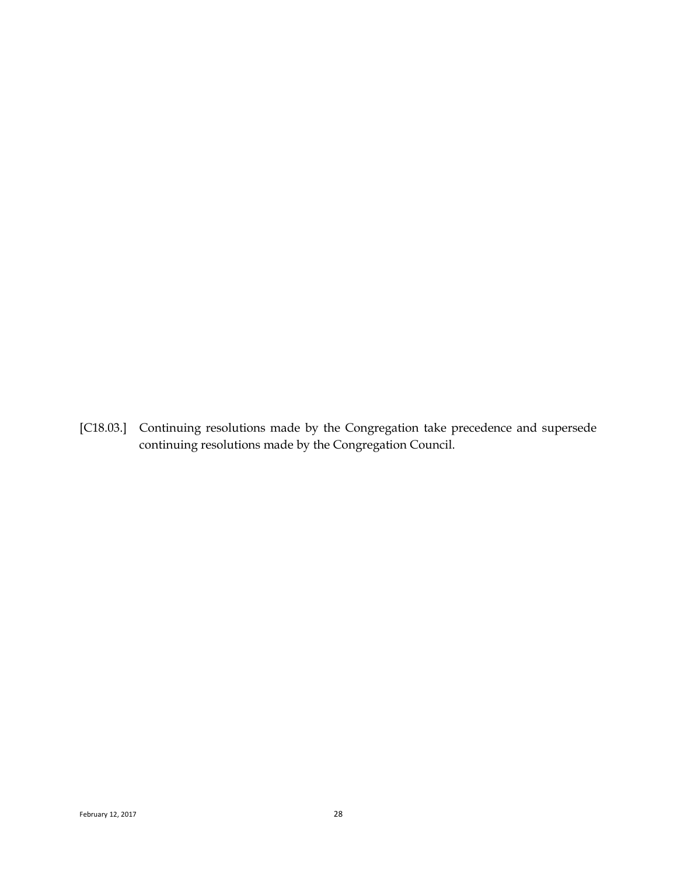[C18.03.] Continuing resolutions made by the Congregation take precedence and supersede continuing resolutions made by the Congregation Council.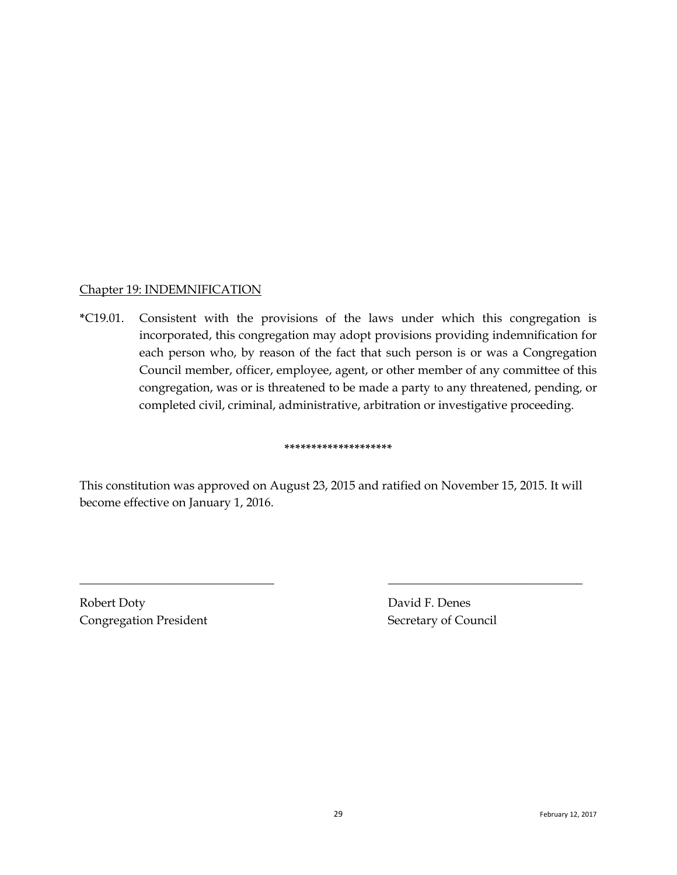#### <span id="page-30-0"></span>Chapter 19: INDEMNIFICATION

**\***C19.01. Consistent with the provisions of the laws under which this congregation is incorporated, this congregation may adopt provisions providing indemnification for each person who, by reason of the fact that such person is or was a Congregation Council member, officer, employee, agent, or other member of any committee of this congregation, was or is threatened to be made a party to any threatened, pending, or completed civil, criminal, administrative, arbitration or investigative proceeding.

#### **\*\*\*\*\*\*\*\*\*\*\*\*\*\*\*\*\*\*\*\***

This constitution was approved on August 23, 2015 and ratified on November 15, 2015. It will become effective on January 1, 2016.

\_\_\_\_\_\_\_\_\_\_\_\_\_\_\_\_\_\_\_\_\_\_\_\_\_\_\_\_\_\_\_\_ \_\_\_\_\_\_\_\_\_\_\_\_\_\_\_\_\_\_\_\_\_\_\_\_\_\_\_\_\_\_\_\_

Robert Doty David F. Denes Congregation President Secretary of Council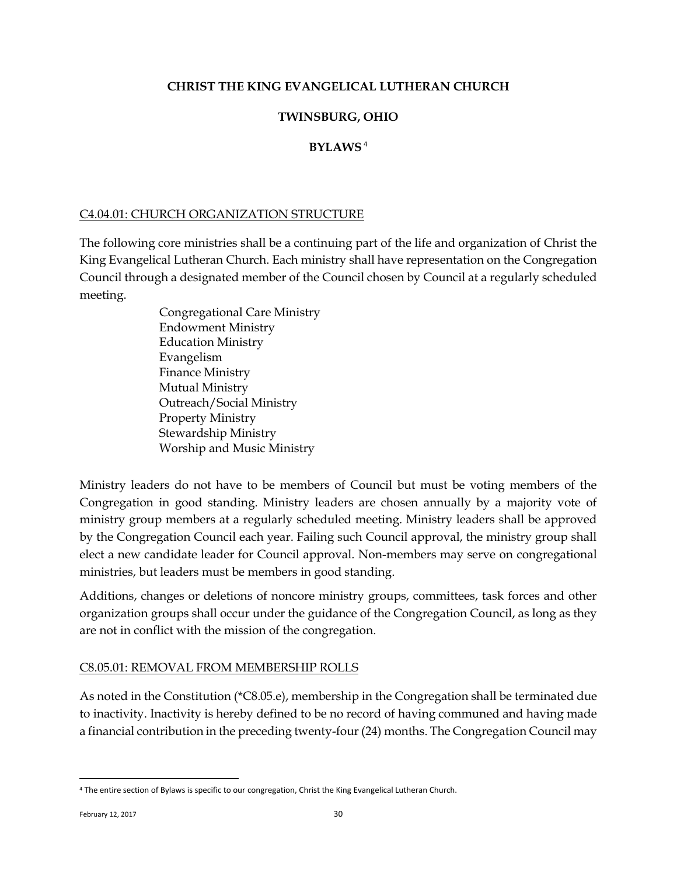# <span id="page-31-0"></span>**CHRIST THE KING EVANGELICAL LUTHERAN CHURCH**

# **TWINSBURG, OHIO**

# **BYLAWS** <sup>4</sup>

### <span id="page-31-1"></span>C4.04.01: CHURCH ORGANIZATION STRUCTURE

The following core ministries shall be a continuing part of the life and organization of Christ the King Evangelical Lutheran Church. Each ministry shall have representation on the Congregation Council through a designated member of the Council chosen by Council at a regularly scheduled meeting.

> Congregational Care Ministry Endowment Ministry Education Ministry Evangelism Finance Ministry Mutual Ministry Outreach/Social Ministry Property Ministry Stewardship Ministry Worship and Music Ministry

Ministry leaders do not have to be members of Council but must be voting members of the Congregation in good standing. Ministry leaders are chosen annually by a majority vote of ministry group members at a regularly scheduled meeting. Ministry leaders shall be approved by the Congregation Council each year. Failing such Council approval, the ministry group shall elect a new candidate leader for Council approval. Non-members may serve on congregational ministries, but leaders must be members in good standing.

Additions, changes or deletions of noncore ministry groups, committees, task forces and other organization groups shall occur under the guidance of the Congregation Council, as long as they are not in conflict with the mission of the congregation.

### <span id="page-31-2"></span>C8.05.01: REMOVAL FROM MEMBERSHIP ROLLS

As noted in the Constitution (\*C8.05.e), membership in the Congregation shall be terminated due to inactivity. Inactivity is hereby defined to be no record of having communed and having made a financial contribution in the preceding twenty-four (24) months. The Congregation Council may

 $\overline{a}$ 

<sup>4</sup> The entire section of Bylaws is specific to our congregation, Christ the King Evangelical Lutheran Church.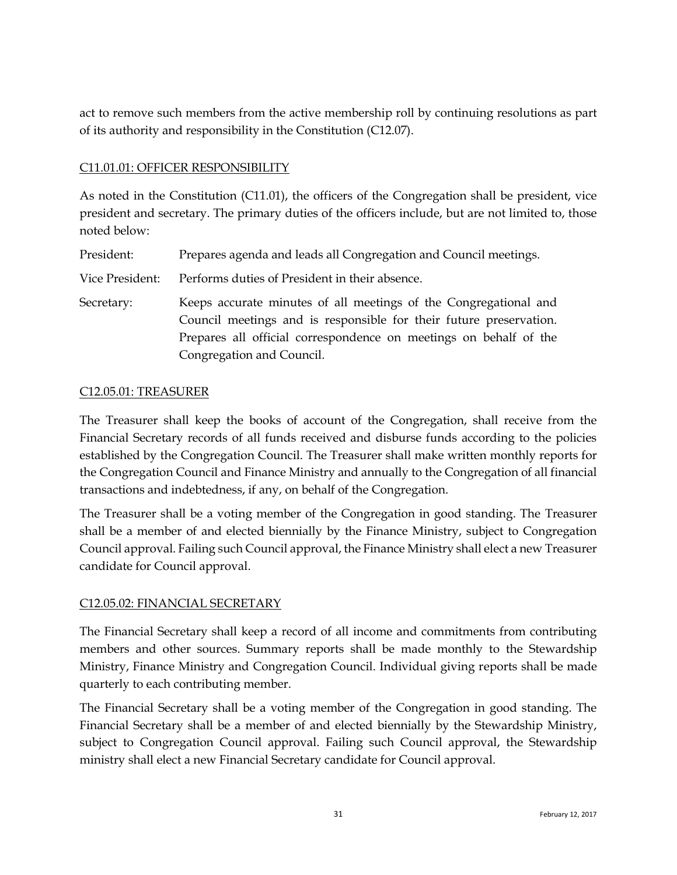act to remove such members from the active membership roll by continuing resolutions as part of its authority and responsibility in the Constitution (C12.07).

## <span id="page-32-0"></span>C11.01.01: OFFICER RESPONSIBILITY

As noted in the Constitution (C11.01), the officers of the Congregation shall be president, vice president and secretary. The primary duties of the officers include, but are not limited to, those noted below:

President: Prepares agenda and leads all Congregation and Council meetings.

- Vice President: Performs duties of President in their absence.
- Secretary: Keeps accurate minutes of all meetings of the Congregational and Council meetings and is responsible for their future preservation. Prepares all official correspondence on meetings on behalf of the Congregation and Council.

#### <span id="page-32-1"></span>C12.05.01: TREASURER

The Treasurer shall keep the books of account of the Congregation, shall receive from the Financial Secretary records of all funds received and disburse funds according to the policies established by the Congregation Council. The Treasurer shall make written monthly reports for the Congregation Council and Finance Ministry and annually to the Congregation of all financial transactions and indebtedness, if any, on behalf of the Congregation.

The Treasurer shall be a voting member of the Congregation in good standing. The Treasurer shall be a member of and elected biennially by the Finance Ministry, subject to Congregation Council approval. Failing such Council approval, the Finance Ministry shall elect a new Treasurer candidate for Council approval.

### <span id="page-32-2"></span>C12.05.02: FINANCIAL SECRETARY

The Financial Secretary shall keep a record of all income and commitments from contributing members and other sources. Summary reports shall be made monthly to the Stewardship Ministry, Finance Ministry and Congregation Council. Individual giving reports shall be made quarterly to each contributing member.

The Financial Secretary shall be a voting member of the Congregation in good standing. The Financial Secretary shall be a member of and elected biennially by the Stewardship Ministry, subject to Congregation Council approval. Failing such Council approval, the Stewardship ministry shall elect a new Financial Secretary candidate for Council approval.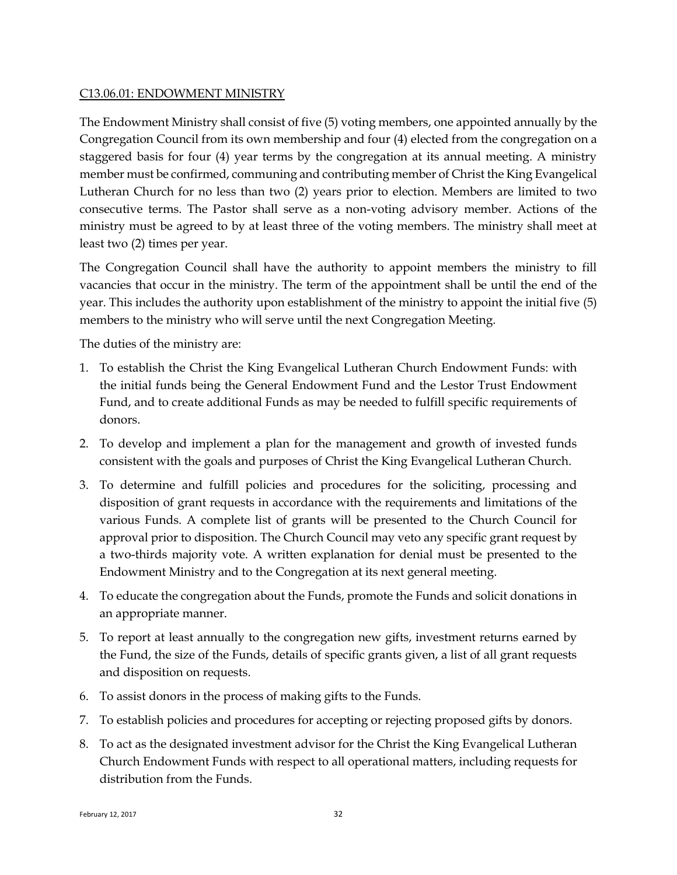### <span id="page-33-0"></span>C13.06.01: ENDOWMENT MINISTRY

The Endowment Ministry shall consist of five (5) voting members, one appointed annually by the Congregation Council from its own membership and four (4) elected from the congregation on a staggered basis for four (4) year terms by the congregation at its annual meeting. A ministry member must be confirmed, communing and contributing member of Christ the King Evangelical Lutheran Church for no less than two (2) years prior to election. Members are limited to two consecutive terms. The Pastor shall serve as a non-voting advisory member. Actions of the ministry must be agreed to by at least three of the voting members. The ministry shall meet at least two (2) times per year.

The Congregation Council shall have the authority to appoint members the ministry to fill vacancies that occur in the ministry. The term of the appointment shall be until the end of the year. This includes the authority upon establishment of the ministry to appoint the initial five (5) members to the ministry who will serve until the next Congregation Meeting.

The duties of the ministry are:

- 1. To establish the Christ the King Evangelical Lutheran Church Endowment Funds: with the initial funds being the General Endowment Fund and the Lestor Trust Endowment Fund, and to create additional Funds as may be needed to fulfill specific requirements of donors.
- 2. To develop and implement a plan for the management and growth of invested funds consistent with the goals and purposes of Christ the King Evangelical Lutheran Church.
- 3. To determine and fulfill policies and procedures for the soliciting, processing and disposition of grant requests in accordance with the requirements and limitations of the various Funds. A complete list of grants will be presented to the Church Council for approval prior to disposition. The Church Council may veto any specific grant request by a two-thirds majority vote. A written explanation for denial must be presented to the Endowment Ministry and to the Congregation at its next general meeting.
- 4. To educate the congregation about the Funds, promote the Funds and solicit donations in an appropriate manner.
- 5. To report at least annually to the congregation new gifts, investment returns earned by the Fund, the size of the Funds, details of specific grants given, a list of all grant requests and disposition on requests.
- 6. To assist donors in the process of making gifts to the Funds.
- 7. To establish policies and procedures for accepting or rejecting proposed gifts by donors.
- 8. To act as the designated investment advisor for the Christ the King Evangelical Lutheran Church Endowment Funds with respect to all operational matters, including requests for distribution from the Funds.